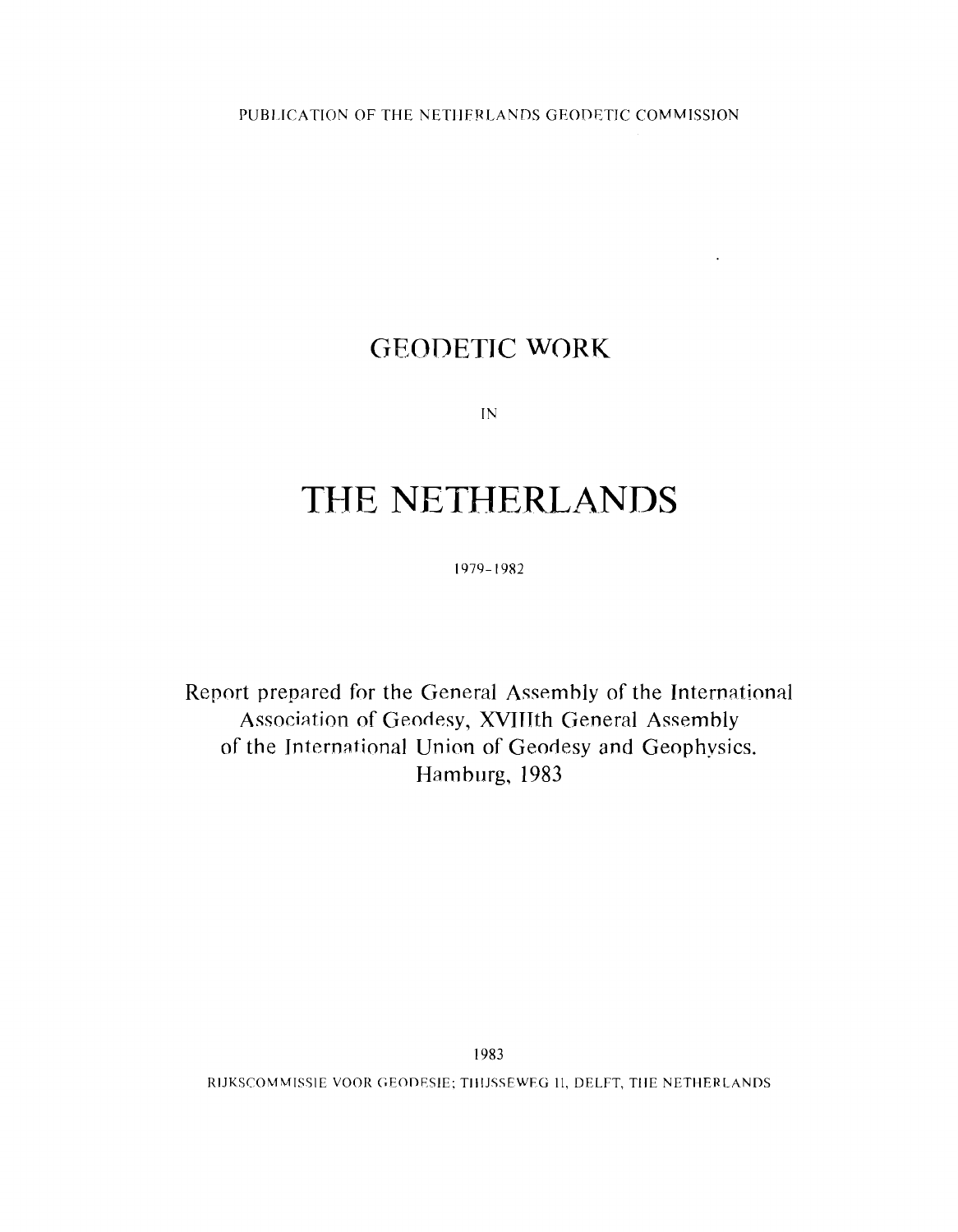## **GEODETIC WORK**

 $\sim$ 

 $IN$ 

# THE NETHERLANDS

1979-1982

Report prepared for the General Assembly of the International Association of Geodesy, MTJth General Assembly of the International Union of Geodesy and Geophvsics. Hamburg, 1983

RIJKSCOMMISSIE VOOR GEODESIE; THIJSSEWEG 11, DELFT, THE NETHERLANDS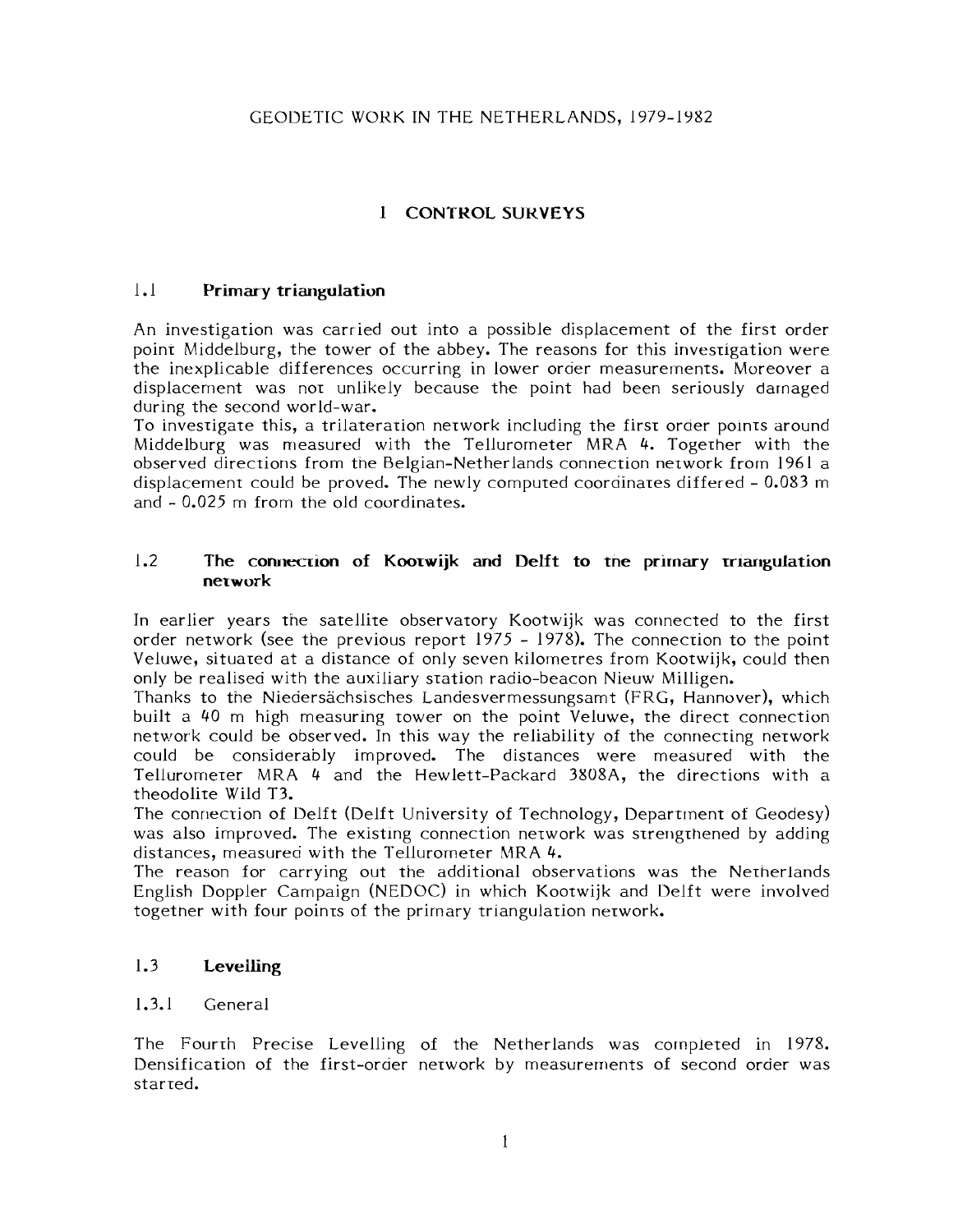#### GEODETIC WORK IN THE NETHERLANDS, 1979-1982

### **1 CONTROL SUKVEYS**

#### 1.1 **Primary triangulation**

An investigation was carried out into a possible displacement of the first order point Middelburg, the tower of the abbey. The reasons for this investigation were the inexplicable differences occurring in lower oraer measurernents. Moreover a displacement was nor unlikely because the point had been seriously darnaged during the second world-war.

To invesrigate this, a trilaterarion nerwork including the firsr oraer polnrs around Middelburg was measured with the Tellurometer MRA 4. Together with the observed directions from the Belgian-Netherlands connection network from 1961 a displacement could be proved. The newly computed coorainares differed - 0.083 m and - 0.025 m from the old coordinates.

#### 1.2 The connection of Kootwijk and Delft to the primary triangulation **network**

In earlier years the satellite observatory Kootwijk was connected to the first order network (see the previous report 1975 - 1978). The connecrion to the point Veluwe, situared at a distance of only seven kilomerres from Kootwijk, could then only be realised with the auxiliary sration radio-beacon Nieuw Milligen.

Thanks to the Niedersächsisches Landesvermessungsamt (FRG, Hannover), which built a 40 m high measuring tower on the point Veluwe, the direct connection network could be observed. In this way the reliability of the connecting network could be considerably improved. The distances were measured with the Tellurometer MRA 4 and the Hewlett-Packard  $3808A$ , the directions with a theodolite Wild T3.

The connection of Delft (Delft University of Technology, Department of Geodesy) was also improved. The existing connection network was strengthened by adding distances, measured with the Tellurometer MRA 4.

The reason for carrying out the additional observations was the Nerherlands English Doppler Campaign (NEDOC) in which Kootwijk and Uelft were involved togetner with four poinrs of the prirnary triangulation nerwork.

#### 1.3 **Levelling**

#### 1.3.1 General

The Fourrh Precise Levelling of the Netherlands was completed in 1978. Densification of the first-order nerwork by measurements of second order was starred.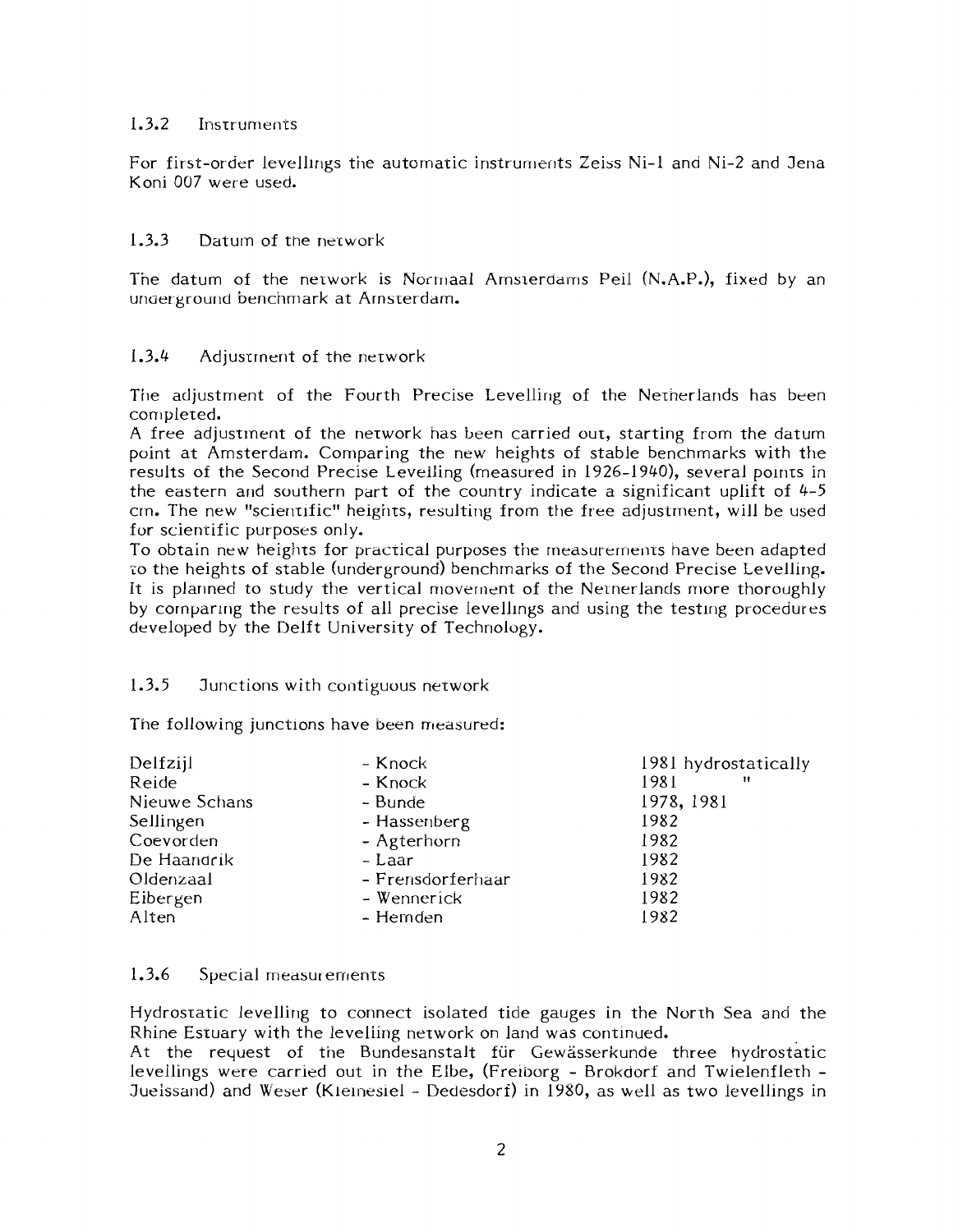#### $1.3.2$ Instruments

For first-order levellings the automatic instruments Zeiss Ni-1 and Ni-2 and Jena Koni 007 were used.

#### 1.3.3 Daturn of the nerwork

The datum of the network is Normaal Amsterdams Peil (N.A.P.), fixed by an under ground benchmark at Arnsterdam.

#### 1.3.4 Adjustment of the network

The adjustment of the Fourth Precise Levelling of the Nernerlands has been completed.

A free adjustment of the nerwork has teen carried out, starting from the datum point at Amsterdam. Cornparing the new heights of stable benchmarks with the results of the Second Precise Levelling (measured in 1926-1940), several points in the eastern and southern part of the country indicate a significant uplift of  $4-5$ cm. The new "scientific" heights, resulting from the free adjustment, will be used for scientific purposes only.

To obtain new heights for practical purposes the measurements have been adapted to the heights of stable (underground) benchmarks of the Second Precise Levelling. It is planned to study the vertical movement of the Nernerlands more thoroughly by comparing the results of all precise levellings and using the testing procedures developed by the Delft University of Technology.

#### 1.3.5 Junctions with contiguous nerwork

The following junctions have been measured:

| Delfzijl      | - Knock           | 1981 hydrostatically |
|---------------|-------------------|----------------------|
| Reide         | - Knock           | 1981<br>Ħ            |
| Nieuwe Schans | - Bunde           | 1978, 1981           |
| Sellingen     | - Hassenberg      | 1982                 |
| Coevorden     | - Agterhorn       | 1982                 |
| De Haandrik   | - Laar            | 1982                 |
| Oldenzaal     | - Frensdorferhaar | 1982                 |
| Eibergen      | – Wennerick       | 1982                 |
| Alten         | - Hemden          | 1982                 |

#### 1.3.6 Special measurements

Hydrostatic levelling to connect isolated tide gauges in the North Sea and the Rhine Estuary with the levelling network on land was continued.

At the request of the Bundesanstalt für Gewässerkunde three hydrostatic levellings were carried out in the Elbe, (Freiborg - Brokdorf and Twielenfleth -Juelssand) and Weser (Kleinesiel - Dedesdorf) in 1980, as well as two levellings in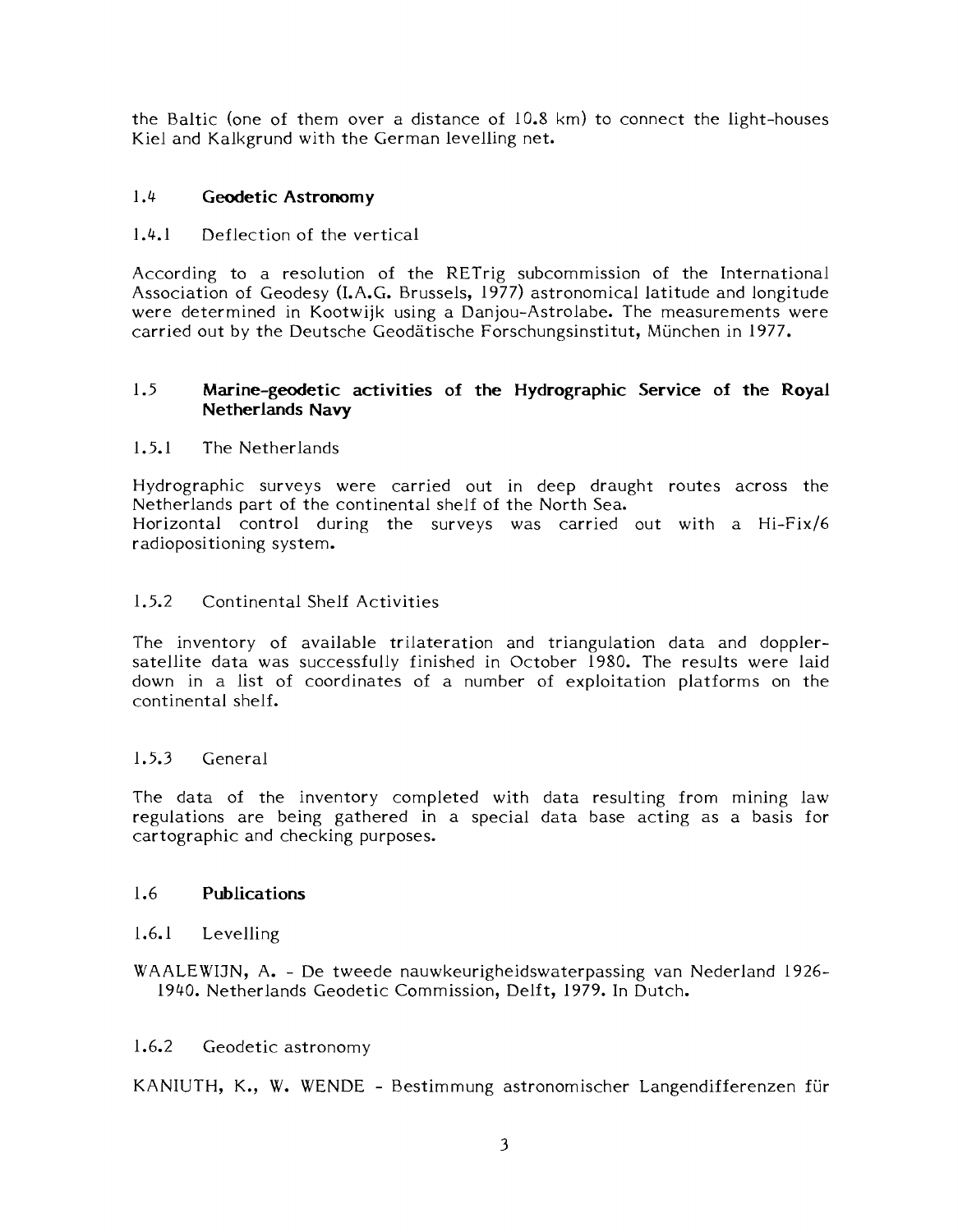the Baltic (one of them over a distance of 10.8 km) to connect the light-houses Kiel and Kalkgrund with the German levelling net.

#### 1.4 **Geodetic Astronomy**

1.4.1 Deflection of the vertical

According to a resolution of the RETrig subcommission of the International Association of Geodesy (I.A.G. Brussels, 1977) astronomical latitude and longitude were determined in Kootwijk using a Danjou-Astrolabe. The measurements were carried out by the Deutsche Geodätische Forschungsinstitut, München in 1977.

#### 1.5 **Marine-geodetic activities of the Hydrographic Service of the Royal Netherlands Navy**

#### 1.5.1 The Netherlands

Hydrographic surveys were carried out in deep draught routes across the Netherlands part of the continental shelf of the North Sea. Horizontal control during the surveys was carried out with a Hi-Fix/6 radiopositioning system.

#### 1.5.2 Continental Shelf Activities

The inventory of available trilateration and triangulation data and dopplersatellite data was successfully finished in October 1980. The results were laid down in a list of coordinates of a number of exploitation platforms on the continental shelf.

#### 1.5.3 General

The data of the inventory completed with data resulting from mining law regulations are being gathered in a special data base acting as a basis for cartographic and checking purposes.

#### 1.6 **Publications**

#### 1.6.1 Levelling

WARLEWIJN, A. - De tweede nauwkeurigheidswaterpassing van Nederland 1926- 1940. Netherlands Geodetic Commission, Delft, 1979. In Dutch.

#### 1.6.2 Geodetic astronomy

KANIUTH, K., W. WENDE - Bestimmung astronomischer Langendifferenzen fur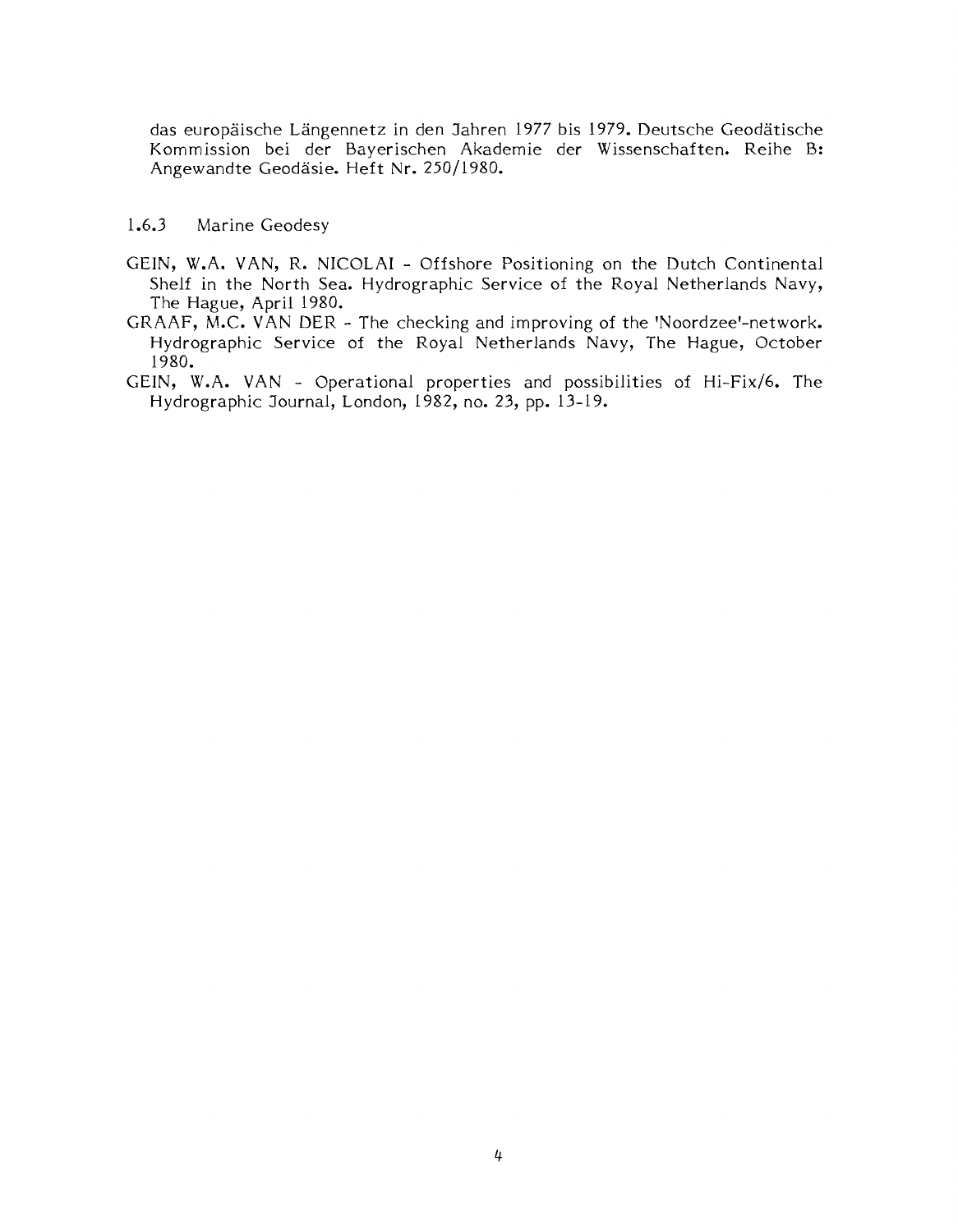das europäische Längennetz in den Jahren 1977 bis 1979. Deutsche Geodätische Kommission bei der Bayerischen Akademie der Wissenschaften. Reihe B: Angewandte Geodasie. Heft Nr. 250/1980.

#### 1.6.3 Marine Geodesy

- GEIN, W.A. VAN, R. NICOLAI Offshore Positioning on the Dutch Continental Shelf in the North Sea. Hydrographic Service of the Royal Netherlands Navy, The Hague, April 1980.
- $GRAAF$ , M.C. VAN DER The checking and improving of the 'Noordzee'-network. Hydrographic Service of the Royal Netherlands Navy, The Hague, October 1980.
- GEIN, W.A. VAN Operational properties and possibilities of Hi-Fix/6. The Hydrographic Journal, London, 1982, no. 23, pp. 13-19.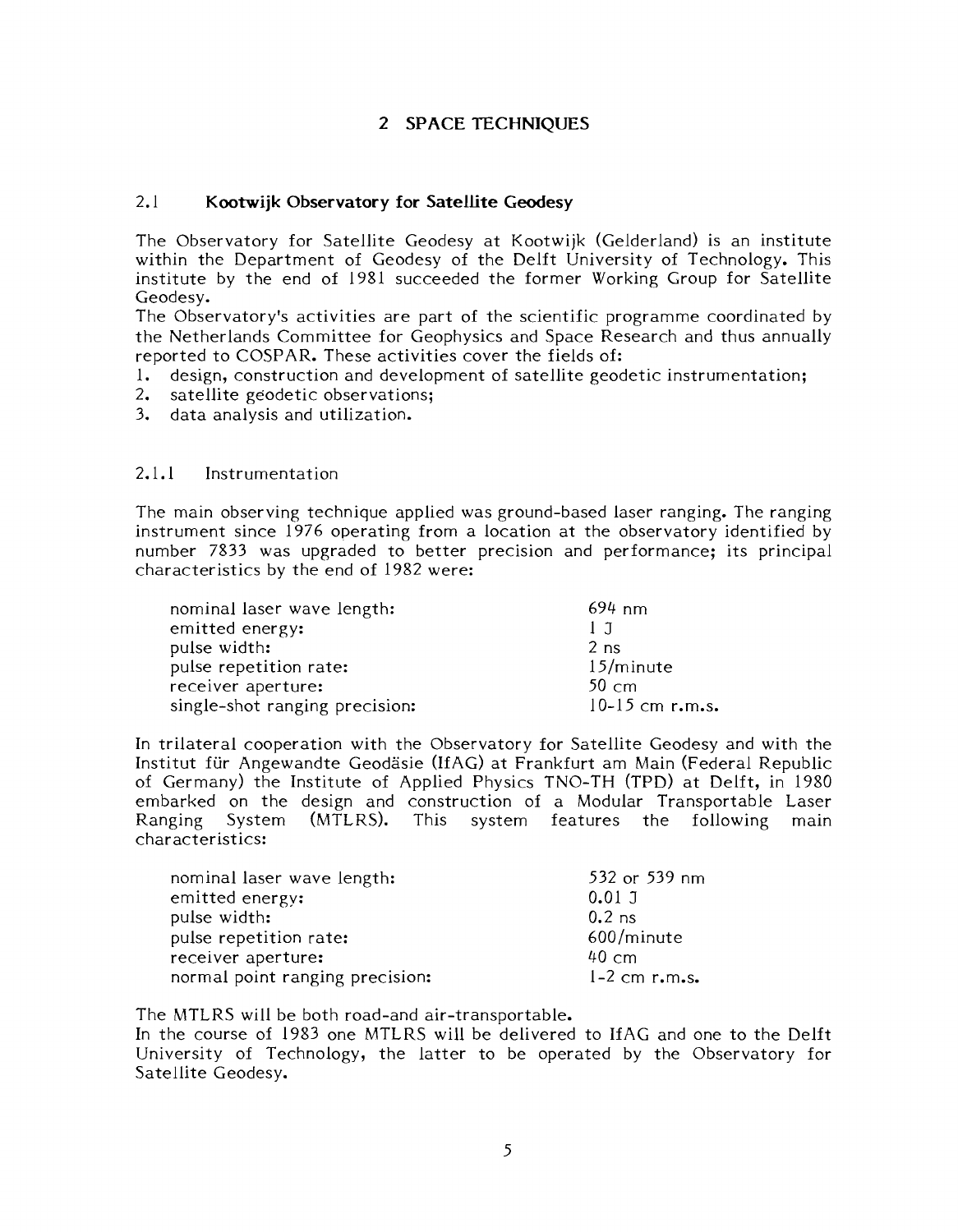#### **2 SPACE TECHNIQUES**

#### 2.1 **Kootwijk Observatory for Satellite Geodesy**

The Observatory for Satellite Geodesy at Kootwijk (Gelderland) is an institute within the Department of Geodesy of the Delft University of Technology. This institute by the end of 1981 succeeded the former Working Group for Satellite Geodesy.

The Observatory's activities are part of the scientific programme coordinated by the Netherlands Committee for Geophysics and Space Research and thus annually reported to COSPAR. These activities cover the fields of:

- 1. design, construction and development of satellite geodetic instrumentation;
- 2. satellite geodetic observations;
- 3. data analysis and utilization.

#### 2.1.1 Instrumentation

The main observing technique applied was ground-based laser ranging. The ranging instrument since 1976 operating from a location at the observatory identified by number 7833 was upgraded to better precision and performance; its principal characteristics by the end of 1982 were:

| nominal laser wave length:     | $694 \; \text{nm}$ |
|--------------------------------|--------------------|
| emitted energy:                | 1 T                |
| pulse width:                   | 2 <sub>ns</sub>    |
| pulse repetition rate:         | $15/m$ inute       |
| receiver aperture:             | $50 \text{ cm}$    |
| single-shot ranging precision: | 10-15 cm $r.m.s.$  |

In trilateral cooperation with the Observatory for Satellite Geodesy and with the Institut für Angewandte Geodäsie (IfAG) at Frankfurt am Main (Federal Republic of Germany) the Institute of Applied Physics TNO-TH (TPD) at Delft, in 1980 embarked on the design and construction of a Modular Transportable Laser System (MTLRS). This system features the following main characteristics:

| nominal laser wave length:      | 532 or 539 nm     |
|---------------------------------|-------------------|
| emitted energy:                 | 0.01J             |
| pulse width:                    | $0.2$ ns          |
| pulse repetition rate:          | 600/minute        |
| receiver aperture:              | $40 \text{ cm}$   |
| normal point ranging precision: | $1-2$ cm $r.m.s.$ |

The MTLRS will be both road-and air-transportable.

In the course of 1983 one MTLRS will be delivered to IfAG and one to the Delft University of Technology, the latter to be operated by the Observatory for Satellite Geodesy.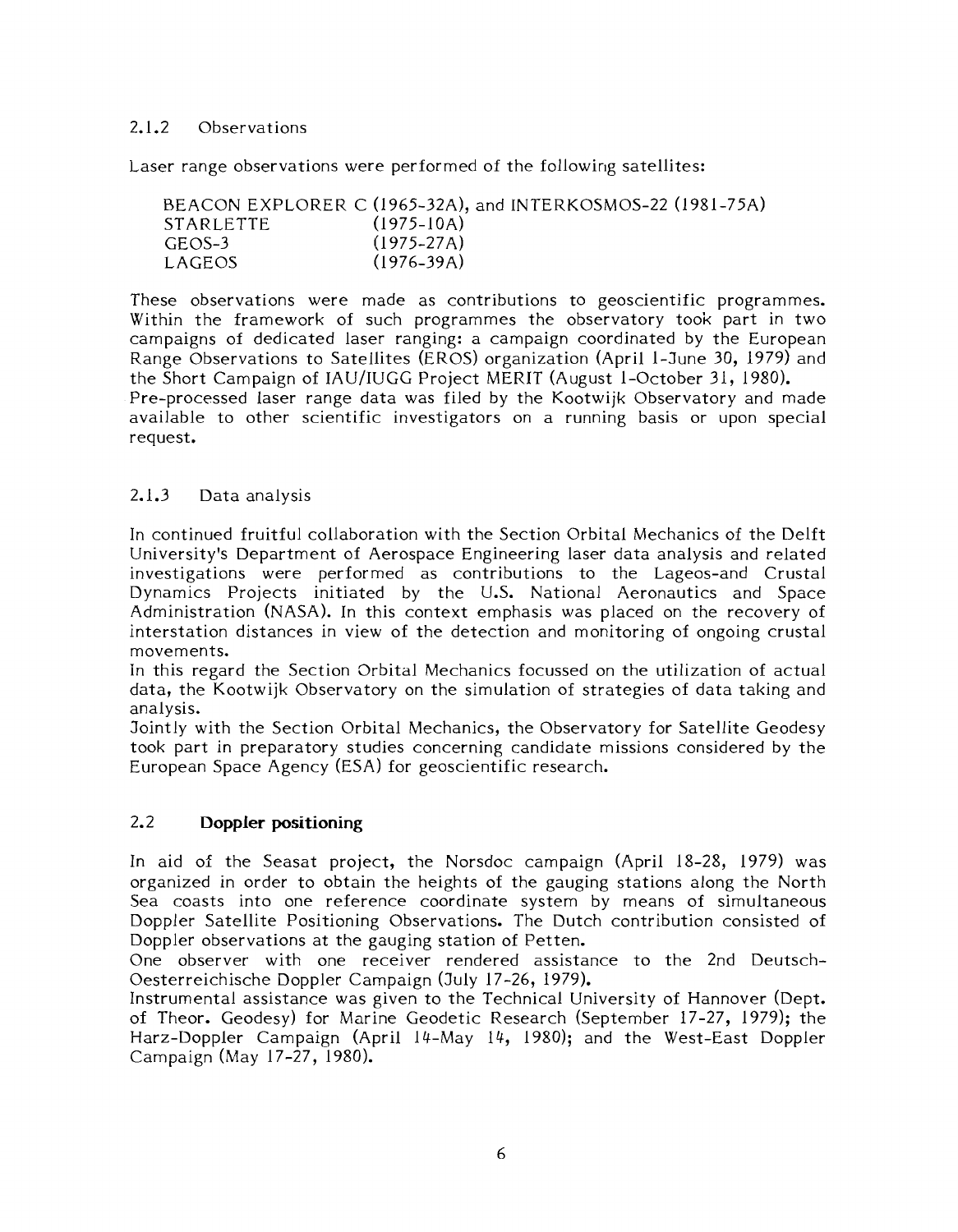#### 2.1.2 Observations

Laser range observations were performed of the following satellites:

|                  | BEACON EXPLORER C (1965-32A), and INTERKOSMOS-22 (1981-75A) |
|------------------|-------------------------------------------------------------|
| <b>STARLETTE</b> | $(1975 - 10A)$                                              |
| GEOS-3           | $(1975 - 27A)$                                              |
| LAGEOS           | $(1976 - 39A)$                                              |

These observations were made as contributions to geoscientific programmes. Within the framework of such programmes the observatory took part in two campaigns of dedicated laser ranging: a campaign coordinated by the European Range Observations to Satellites (EROS) organization (April l-June 30, 1979) and the Short Campaign of IAU/IUGG Project MERIT (August l-October 31, 1980). Pre-processed laser range data was filed by the Kootwijk Observatory and made available to other scientific investigators on a running basis or upon special request.

#### 2.1.3 Data analysis

In continued fruitful collaboration with the Section Orbital Mechanics of the Delft University's Department of Aerospace Engineering laser data analysis and related investigations were performed as contributions to the Lageos-and Crustal Dynamics Projects initiated by the U.S. National Aeronautics and Space Administration (NASA). In this context emphasis was placed on the recovery of interstation distances in view of the detection and monitoring of ongoing crustal movements.

In this regard the Section Orbital Mechanics focussed on the utilization of actual data, the Kootwijk Observatory on the simulation of strategies of data taking and analysis.

Jointly with the Section Orbital Mechanics, the Observatory for Satellite Geodesy took part in preparatory studies concerning candidate missions considered by the European Space Agency (ESA) for geoscientific research.

#### 2.2 **Doppler positioning**

In aid of the Seasat project, the Norsdoc campaign (April 18-28, 1979) was organized in order to obtain the heights of the gauging stations along the North Sea coasts into one reference coordinate system by means of simultaneous Doppler Satellite Positioning Observations. The Dutch contribution consisted of Doppler observations at the gauging station of Petten.

One observer with one receiver rendered assistance to the 2nd Deutsch-Oesterreichische Doppler Campaign (July 17-26, 1979).

Instrumental assistance was given to the Technical University of Hannover (Dept. of Theor. Geodesy) for Marine Geodetic Research (September 17-27, 1979); the Harz-Doppler Campaign (April 14-May 14, 1980); and the West-East Doppler Campaign (May 17-27, 1980).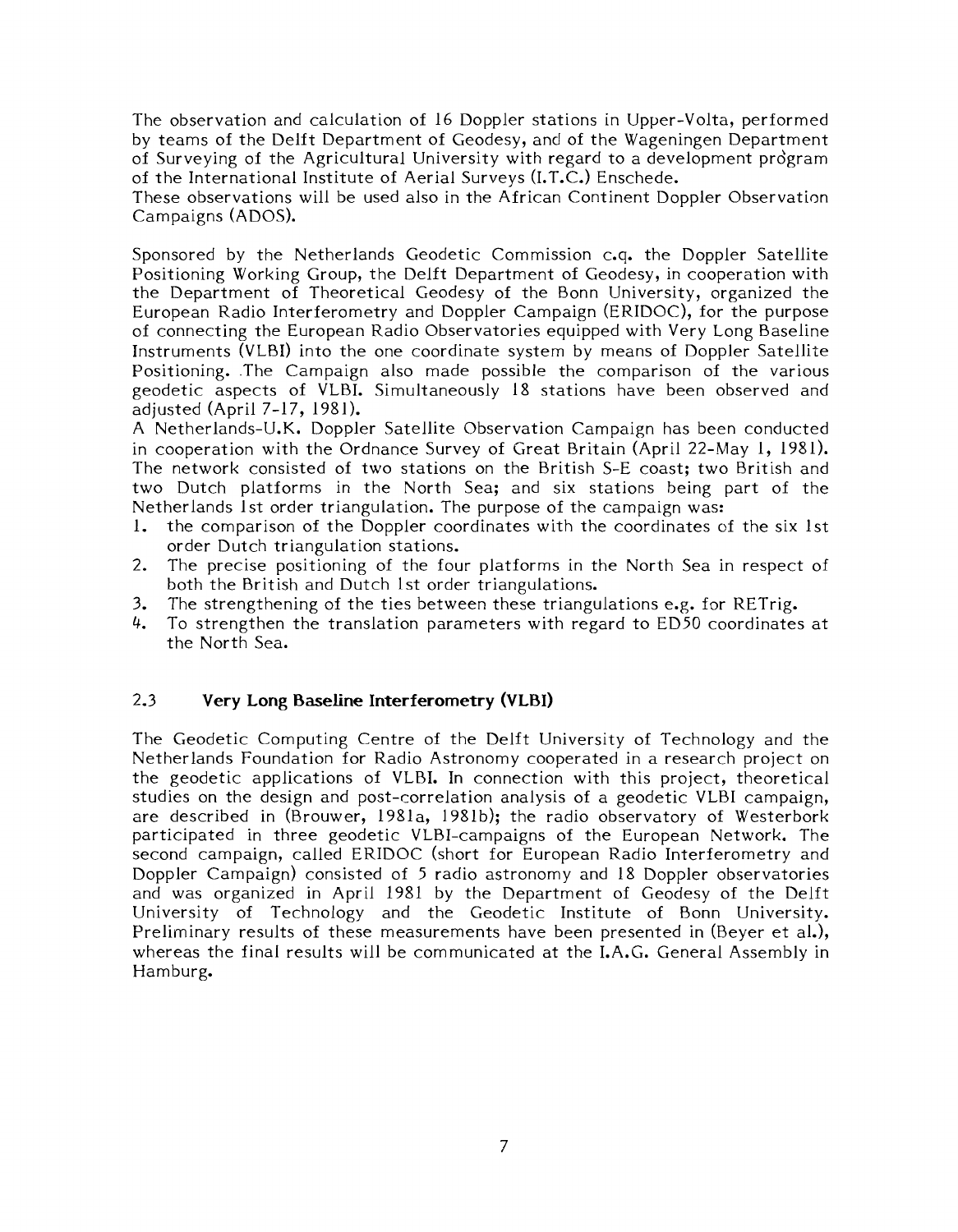The observation and calculation of 16 Doppler stations in Upper-Volta, performed by teams of the Delft Department of Geodesy, and of the Wageningen Department of Surveying of the Agricultural University with regard to a development pro'gram of the International Institute of Aerial Surveys (I.T.C.) Enschede.

These observations will be used also in the African Continent Doppler Observation Campaigns (ADOS).

Sponsored by the Netherlands Geodetic Commission c.q. the Doppler Satellite Positioning Working Group, the Delft Department of Geodesy, in cooperation with the Department of Theoretical Geodesy of the Bonn University, organized the European Radio Interferometry and Doppler Campaign (ERIDOC), for the purpose of connecting the European Radio Observatories equipped with Very Long Baseline Instruments (VLBI) into the one coordinate system by means of Doppler Satellite Positioning. .The Campaign also made possible the comparison of the various geodetic aspects of VLBI. Simultaneously 18 stations have been observed and adjusted (April 7-17, 1981).

A Netherlands-U.K. Doppler Satellite Observation Campaign has been conducted in cooperation with the Ordnance Survey of Great Britain (April 22-May 1, 1981). The network consisted of two stations on the British S-E coast; two British and two Dutch platforms in the North Sea; and six stations being part of the Netherlands 1st order triangulation. The purpose of the campaign was:

- 1. the comparison of the Doppler coordinates with the coordinates of the six 1st order Dutch triangulation stations.
- 2. The precise positioning of the four platforms in the North Sea in respect of both the British and Dutch 1st order triangulations.
- 3. The strengthening of the ties between these triangulations e.g. for RETrig.  $4$ . To strengthen the translation parameters with regard to ED50 coordinates
- 4. To strengthen the translation parameters with regard to ED50 coordinates at the North Sea.

#### 2.3 **Very Long Baseline Interferometry (VLBI)**

The Geodetic Computing Centre of the Delft University of Technology and the Netherlands Foundation for Radio Astronomy cooperated in a research project on the geodetic applications of VLBI. In connection with this project, theoretical studies on the design and post-correlation analysis of a geodetic VLBI campaign, are described in (Brouwer, 1981a, 1981b); the radio observatory of Westerbork participated in three geodetic VLBI-campaigns of the European Network. The second campaign, called ERIDOC (short for European Radio Interferometry and Doppler Campaign) consisted of 5 radio astronomy and 18 Doppler observatories and was organized in April 1981 by the Department of Geodesy of the Delft University of Technology and the Geodetic Institute of Bonn University. Preliminary results of these measurements have been presented in (Beyer et al.), whereas the final results will be communicated at the I.A.G. General Assembly in Hamburg.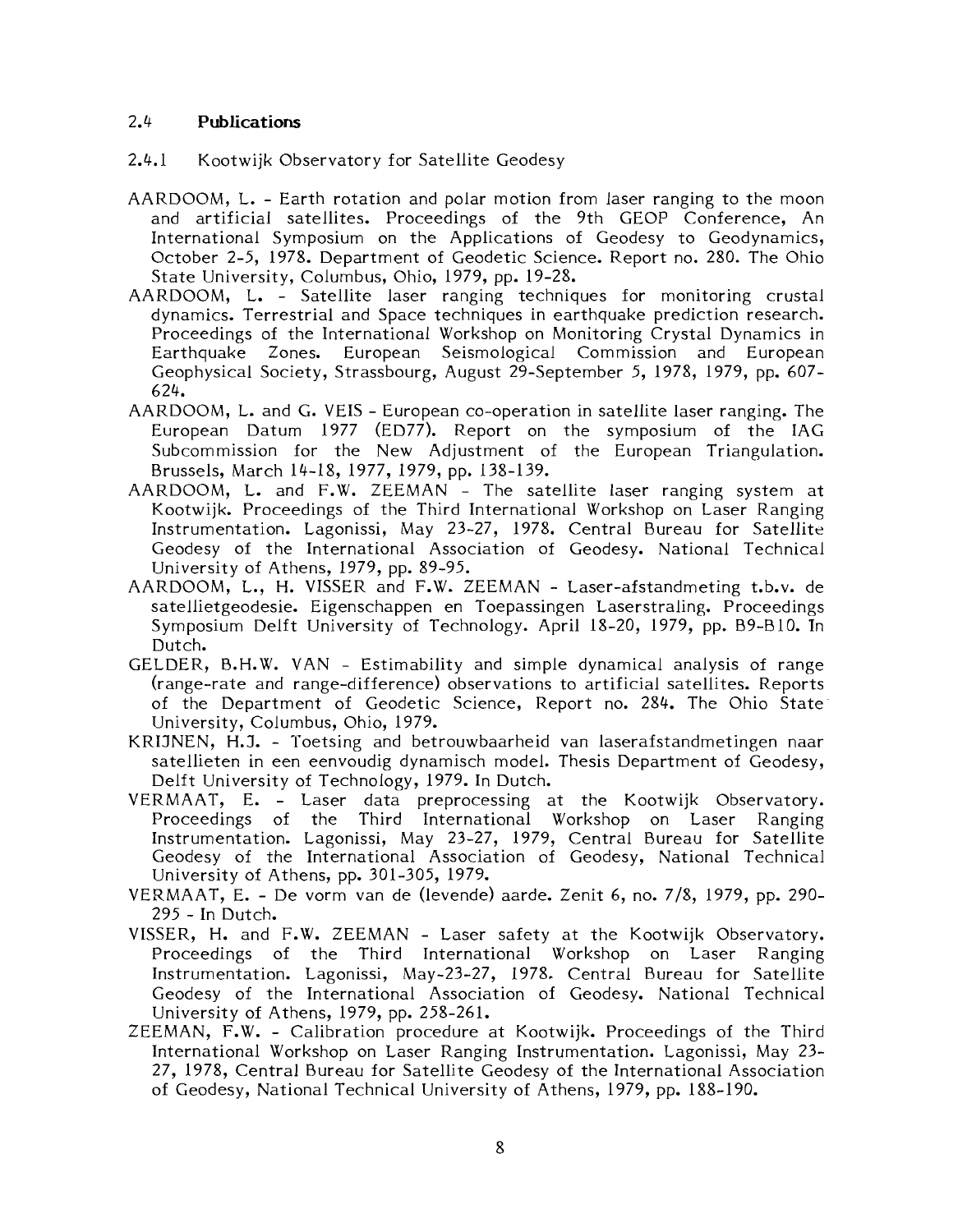#### 2.4 **Publications**

- 2.4.1 Kootwijk Observatory for Satellite Geodesy
- AARDOOM, L. Earth rotation and polar motion from laser ranging to the moon and artificial satellites. Proceedings of the 9th GEOP Conference, An International Symposium on the Applications of Geodesy to Geodynamics, October 2-5, 1978. Department of Geodetic Science. Report no. 280. The Ohio State University, Columbus, Ohio, 1979, pp. 19-28.
- AARDOOM, L. Satellite laser ranging techniques for monitoring crustal dynamics. Terrestrial and Space techniques in earthquake prediction research. Proceedings of the International Workshop on Monitoring Crystal Dynamics in Earthquake Zones. European Seismological Commission and European Geophysical Society, Strassbourg, August 29-September 5, 1978, 1979, pp. 607- 624.
- AARDOOM, L. and G. VEIS European co-operation in satellite laser ranging. The European Datum 1977 (ED77). Report on the symposium of the IAG Subcommission for the New Adjustment of the European Triangulation. Brussels, March 14-18, 1977, 1979, pp. 138-139.
- AARDOOM, L. and F.W. ZEEMAN The satellite laser ranging system at Kootwijk. Proceedings of the Third International Workshop on Laser Ranging Instrumentation. Lagonissi, May 23-27, 1978. Central Bureau for Satellite Geodesy of the International Association of Geodesy. National Technical University of Athens, 1979, pp. 89-95.
- AARDOOM, L., H. VISSER and F.W. ZEEMAN Laser-afstandmeting t.b.v. de satellietgeodesie. Eigenschappen en Toepassingen Laserstraling. Proceedings Symposium Delft University of Technology. April 18-20, 1979, pp. B9-810. In Dutch.
- GELDER, B.H.W. VAN Estimability and simple dynamical analysis of range (range-rate and range-difference) observations to artificial satellites. Reports of the Department of Geodetic Science, Report no. 284. The Ohio State University, Columbus, Ohio, 1979.
- KRIJNEN, H.J. Toetsing and betrouwbaarheid van laserafstandmetingen naar satellieten in een eenvoudig dynamisch model. Thesis Department of Geodesy, Delft University of Technology, 1979. In Dutch.
- VERMAAT, E. Laser data preprocessing at the Kootwijk Observatory. Proceedings of the Third International Workshop on Laser Ranging Instrumentation. Lagonissi, May 23-27, 1979, Central Bureau for Satellite Geodesy of the International Association of Geodesy, National Technical University of Athens, pp. 301-305, 1979.
- VERMAAT, E. De vorm van de (levende) aarde. Zenit 6, no. 718, 1979, pp. 290- 295 - In Dutch.
- VISSER, H. and F.W. ZEEMAN Laser safety at the Kootwijk Observatory. Proceedings of the Third International Workshop on Laser Ranging Instrumentation. Lagonissi, May-23-27, 1978. Central Bureau for Satellite Geodesy of the International Association of Geodesy. National Technical University of Athens, 1979, pp. 258-261.
- ZEEMAN, F.W. Calibration procedure at Kootwijk. Proceedings of the Third International Workshop on Laser Ranging Instrumentation. Lagonissi, May 23- 27, 1978, Central Bureau for Satellite Geodesy of the International Association of Geodesy, National Technical University of Athens, 1979, pp. 188-190.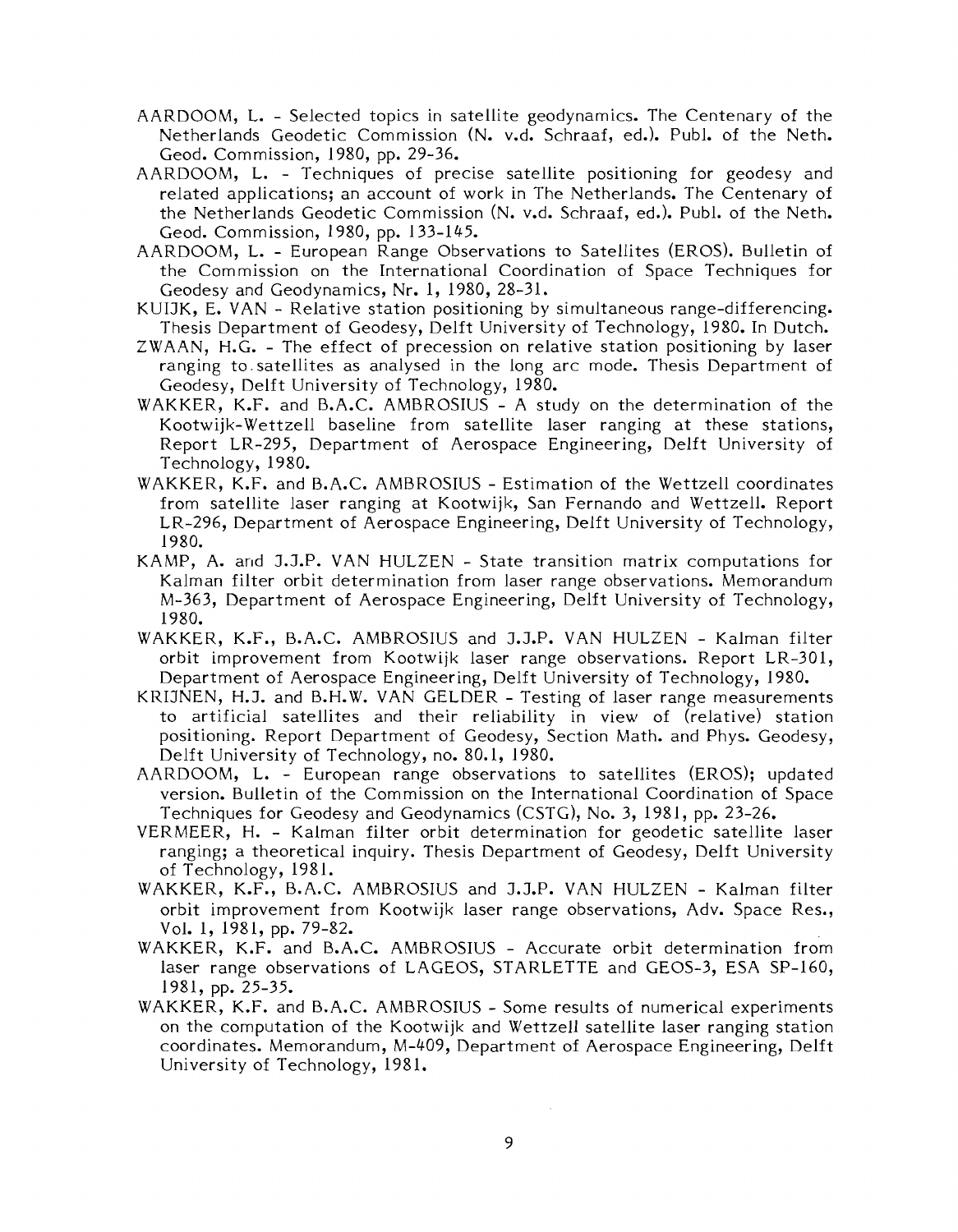- AARDOOM, L. Selected topics in satellite geodynamics. The Centenary of the Netherlands Geodetic Commission (N. v.d. Schraaf, ed.). Publ. of the Neth. Geod. Commission, 1980, pp. 29-36.
- AARDOOM, L. Techniques of precise satellite positioning for geodesy and related applications; an account of work in The Netherlands. The Centenary of the Netherlands Geodetic Commission (N. v.d. Schraaf, ed.). Publ. of the Neth. Geod. Commission, 1980, pp. 133-1 45.
- AARDOOM, L. European Range Observations to Satellites (EROS). Bulletin of the Commission on the International Coordination of Space Techniques for Geodesy and Geodynamics, Nr. 1, 1980, 28-31.
- KUIJK, E. VAN Relative station positioning by simultaneous range-differencing. Thesis Department of Geodesy, Delft University of Technology, 1980. In Dutch.
- ZWAAN, H.G. The effect of precession on relative station positioning by laser ranging to.satellites as analysed in the long arc mode. Thesis Department of Geodesy, Delft University of Technology, 1980.
- WAKKER, K.F. and B.A.C. AMBROSIUS A study on the determination of the Kootwijk-Wettzell baseline from satellite laser ranging at these stations, Report LR-295, Department of Aerospace Engineering, Delft University of Technology, 1980.
- WAKKER, K.F. and B.A.C. AMBROSIUS Estimation of the Wettzell coordinates from satellite laser ranging at Kootwijk, San Fernando and Wettzell. Report LR-296, Department of Aerospace Engineering, Delft University of Technology, 1980.
- KAMP, A. and J.J.P. VAN HULZEN State transition matrix computations for Kalman filter orbit determination from laser range observations. Memorandum M-363, Department of Aerospace Engineering, Delft University of Technology, 1980.
- WAKKER, K.F., B.A.C. AMBROSIUS and J.J.P. VAN HULZEN Kalman filter orbit improvement from Kootwijk laser range observations. Report LR-301, Department of Aerospace Engineering, Delft University of Technology, 1980.
- KRIJNEN, H.J. and B.H.W. VAN GELDER Testing of laser range measurements to artificial satellites and their reliability in view of (relative) station positioning. Report Department of Geodesy, Section Math. and Phys. Geodesy, Delft University of Technology, no. 80.1, 1980.
- AARDOOM, L. European range observations to satellites (EROS); updated version. Bulletin of the Commission on the International Coordination of Space Techniques for Geodesy and Geodynamics (CSTG), No. 3, 1981, pp. 23-26.
- VERMEER, H. Kalman filter orbit determination for geodetic satellite laser ranging; a theoretical inquiry. Thesis Department of Geodesy, Delft University of Technology, 1981.
- WAKKER, K.F., B.A.C. AMBROSIUS and J.J.P. VAN HULZEN Kalman filter orbit improvement from Kootwijk laser range observations, Adv. Space Res., Vol. 1, 1981, pp. 79-82.
- WAKKER, K.F. and B.A.C. AMBROSIUS Accurate orbit determination from laser range observations of LAGEOS, STARLETTE and GEOS-3, ESA SP-160, 1981, pp. 25-35.
- WAKKER, K.F. and B.A.C. AMBROSIUS Some results of numerical experiments on the computation of the Kootwijk and Wettzell satellite laser ranging station coordinates. Memorandum, M-409, Department of Aerospace Engineering, Delft University of Technology, 1981.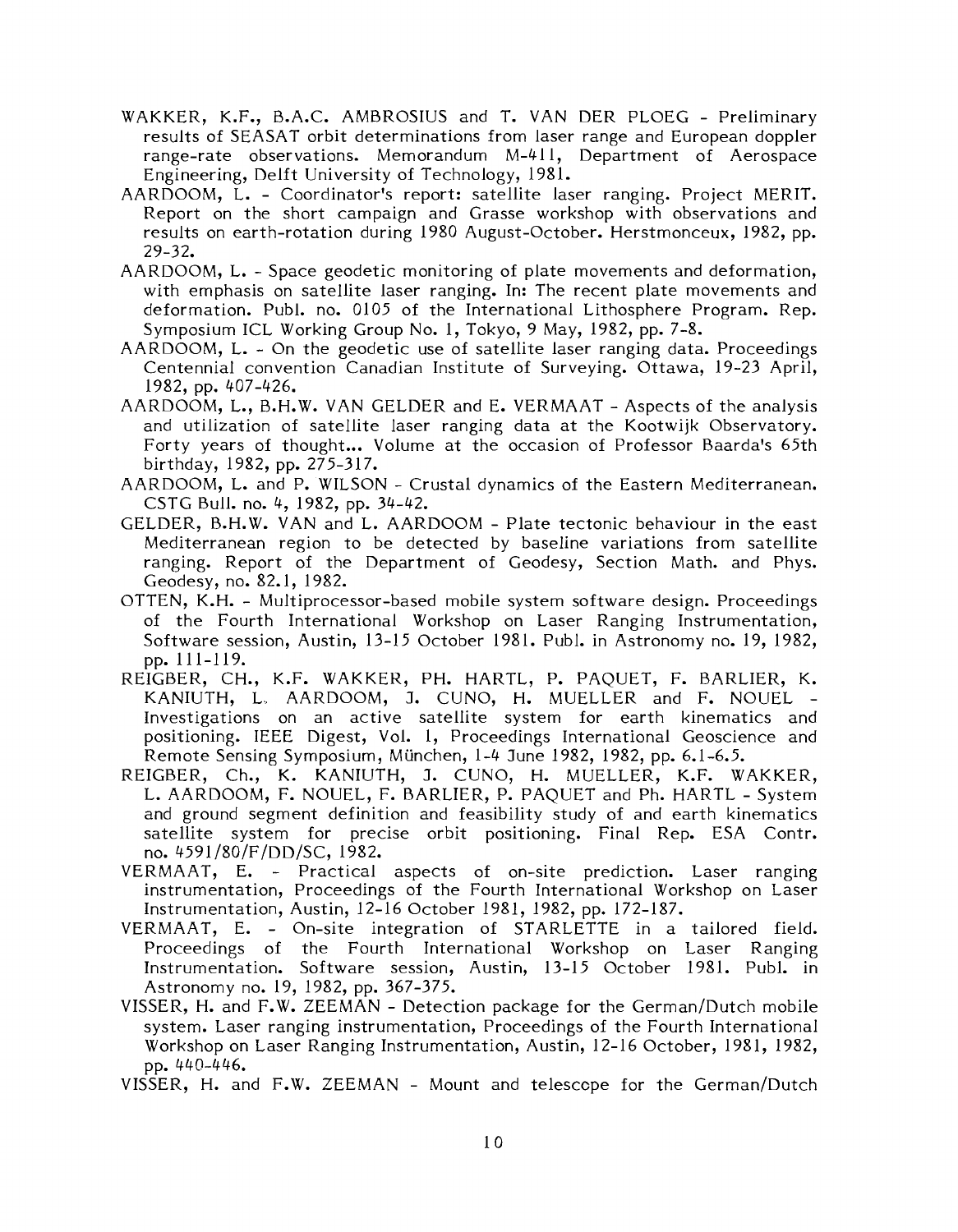- WAKKER, K.F., B.A.C. AMBROSIUS and T. VAN DER PLOEG Preliminary results of SEASAT orbit determinations from laser range and European doppler range-rate observations. Memorandum M-411, Department of Aerospace Engineering, Delft University of Technology, 1981.
- AARDOOM, L. Coordinator's report: satellite laser ranging. Project MERIT. Report on the short campaign and Grasse workshop with observations and results on earth-rotation during 1980 August-October. Herstmonceux, 1982, pp. 29-32.
- AARDOOM, L. Space geodetic monitoring of plate movements and deformation, with emphasis on satellite laser ranging. In: The recent plate movements and deformation. Publ. no. 0105 of the International Lithosphere Program. Rep. Symposium ICL Working Group No. 1, Tokyo, 9 May, 1982, pp. 7-8.
- AARDOOM, L. On the geodetic use of satellite laser ranging data. Proceedings Centennial convention Canadian Institute of Surveying. Ottawa, 19-23 April, 1982, pp. 407-426.
- AARDOOM, L., B.H.W. VAN GELDER and E. VERMAAT Aspects of the analysis and utilization of satellite laser ranging data at the Kootwijk Observatory. Forty years of thought... Volume at the occasion of Professor Baarda's 65th birthday, 1982, pp. 275-317.
- AARDOOM, L. and P. WILSON Crustal dynamics of the Eastern Mediterranean. CSTG Bull. no. 4, 1982, pp. 34-42.
- GELDER, B.H.W. VAN and L. AARDOOM Plate tectonic behaviour in the east Mediterranean region to be detected by baseline variations from satellite ranging. Report of the Department of Geodesy, Section Math. and Phys. Geodesy, no. 82.1, 1982.
- OTTEN, K.H. Multiprocessor-based mobile system software design. Proceedings of the Fourth International Workshop on Laser Ranging Instrumentation, Software session, Austin, 13-15 October 1981. Publ. in Astronomy no. 19, 1982, pp. 111-119.
- REIGBER, CH., K.F. WAKKEK, PH. HARTL, P. PAQUET, F. BARLIER, K. KANIUTH, L. AARDOOM, J. CUNO, H. MUELLER and F. NOUEL -Investigations on an active satellite system for earth kinematics and positioning. IEEE Digest, Vol. l, Proceedings International Geoscience and Remote Sensing Symposium, München, 1-4 June 1982, 1982, pp. 6.1-6.5.
- REIGBER, Ch., K. KANILITH, J. CUNO, H. MUELLER, K.F. WAKKER, L. AARDOOM, F. NOUEL, F. BARLIER, P. PAQUET and Ph. HARTL - System and ground segment definition and feasibility study of and earth kinematics satellite system for precise orbit positioning. Final Rep. ESA Contr. no. 4591/80/F/DD/SC, 1982.
- VERMAAT, E. Practical aspects of on-site prediction. Laser ranging instrumentation, Proceedings of the Fourth International Workshop on Laser Instrumentation, Austin, 12-16 October 1981, 1982, pp. 172-187.
- VERMAAT, E. On-site integration of STARLETTE in a tailored field. Proceedings of the Fourth International Workshop on Laser Ranging Instrumentation. Software session, Austin, 13-15 October 1981. Publ. in Astronomy no. 19, 1982, pp. 367-375.
- VISSER, H. and F.W. ZEEMAN Detection package for the German/Dutch mobile system. Laser ranging instrumentation, Proceedings of the Fourth International Workshop on Laser Ranging Instrumentation, Austin, 12-16 October, 1981, 1982, pp. 440-446.
- VISSER, H. and F.W. ZEEMAN Mount and telesccpe for the German/Dutch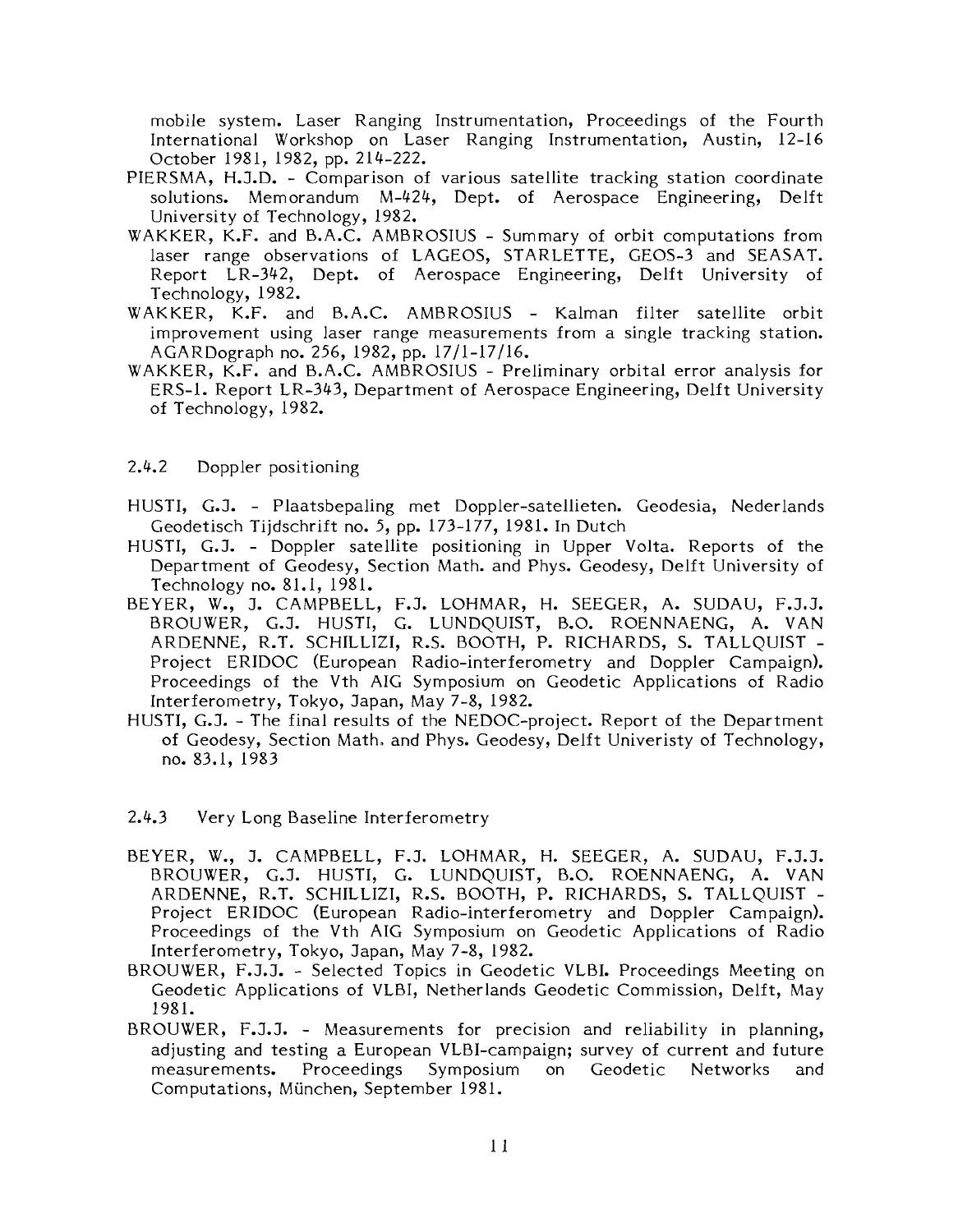mobile system. Laser Ranging Instrumentation, Proceedings of the Fourth International Workshop on Laser Ranging Instrumentation, Austin, 12-16 October 1981, 1982, pp. 214-222.

- PIERSMA, H.J.D. Comparison of various satellite tracking station coordinate solutions. Memorandum M-424, Dept. of Aerospace Engineering, Delft University of Technology, 1982.
- WAKKER, K.F. and B.A.C. AMBROSIUS Summary of orbit computations from laser range observations of LAGEOS, STARLETTE, GEOS-3 and SEASAT. Report LR-342, Dept. of Aerospace Engineering, Delft University of Technology, 1982.
- WAKKER, K.F. and B.A.C. AMBROSIUS Kalman filter satellite orbit improvement using laser range measurements from a single tracking station. AGARDograph no. 256, 1982, pp. 1711-17/16.
- WAKKER, K.F. and B.A.C. AMBROSIUS Preliminary orbital error analysis for ERS-1. Report LR-343, Department of Aerospace Engineering, Delft University of Technology, 1982.
- 2.4.2 Doppler positioning
- HUSTI, G.J. Plaatsbepaling met Doppler-satellieten. Geodesia, Nederlands Geodetisch Tijdschrift no. 5, pp. 173-177, 1981. In Dutch
- HUSTI, G.J. Doppler satellite positioning in Upper Volta. Reports of the Department of Geodesy, Section Math. and Phys. Geodesy, Delft University of Technology no. 81.1, 1981.
- BEYER, W., J. CAMPBELL, F.J. LOHMAR, H. SEEGER, A. SUDAU, F.J.J. BROUWER, G.J. HUSTI, G. LUNDQUIST, B.O. ROENNAENG, A. VAN ARDENNE, R.T. SCHILLIZI, R.S. BOOTH, P. RICHARDS, S. TALLQUIST - Project ERIDOC (European Radio-interferometry and Doppler Campaign). Proceedings of the Vth AIG Symposium on Geodetic Applications of Radio Interferometry, Tokyo, Japan, May 7-8, 1982.
- HUSTI, G.J. The final results of the NEDOC-project. Report of the Department of Geodesy, Section Math, and Phys. Geodesy, Delft Univeristy of Technology, no. 83.1, 1983
- 2.4.3 Very Long Baseline Interferometry
- BEYER, W., J. CAMPBELL, F.J. LOHMAR, H. SEEGER, A. SUDAU, F.J.J. BROUWER, G.J. HUSTI, G. LUNDQUIST, B.O. ROENNAENG, A. VAN ARDENNE, R.T. SCHILLIZI, R.S. BOOTH, P. RICHARDS, S. TALLQUIST - Project ERIDOC (European Radio-interferometry and Doppler Campaign). Proceedings of the Vth AIG Symposium on Geodetic Applications of Radio Interferometry, Tokyo, Japan, May 7-8, 1982.
- BROUWER, F.J.J. Selected Topics in Geodetic VLBI. Proceedings Meeting on Geodetic Applications of VLBI, Netherlands Geodetic Commission, Delft, May 1981.
- BROUWER, F.J.J. Measurements for precision and reliability in planning, adjusting and testing a European VLBI-campaign; survey of current and future measurements. Proceedings Symposium on Geodetic Networks and Computations, Miinchen, September 1981.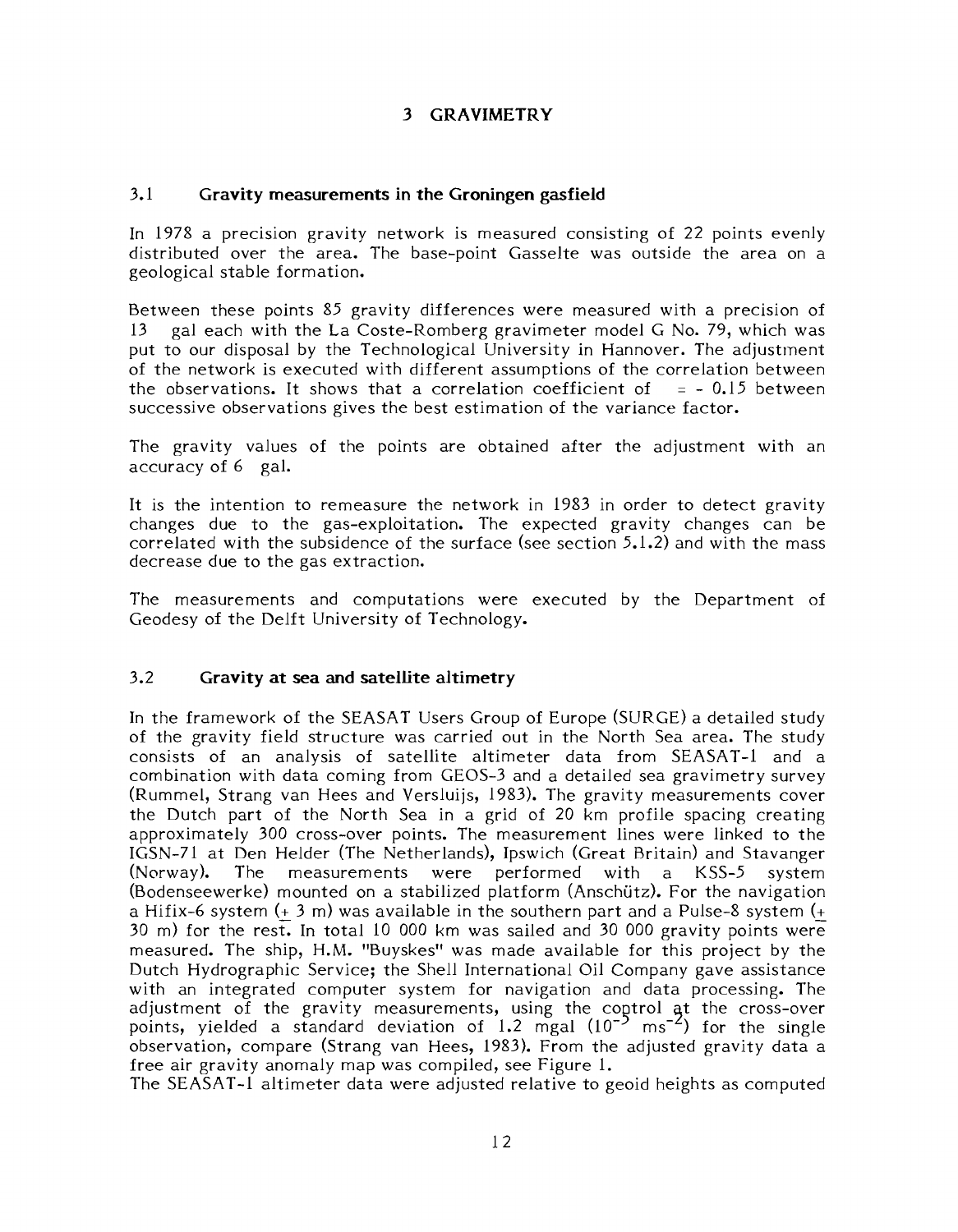### **3 GRAVIMETRY**

#### 3.1 **Gravity measurements in the Groningen gasfield**

In 1978 a precision gravity network is measured consisting of 22 points evenly distributed over the area. The base-point Gasselte was outside the area on a geological stable formation.

Between these points 85 gravity differences were measured with a precision of 13 gal each with the La Coste-Romberg gravimeter model G No. 79, which was put to our disposal by the Technological University in Hannover. The adjustment of the network is executed with different assumptions of the correlation between the observations. It shows that a correlation coefficient of  $= -0.15$  between the observations. It shows that a correlation coefficient of successive observations gives the best estimation of the variance factor.

The gravity values of the points are obtained after the adjustment with an accuracy of 6 gal.

It is the intention to remeasure the network in 1983 in order to detect gravity changes due to the gas-exploitation. The expected gravity changes can be correlated with the subsidence of the surface (see section 5.1.2) and with the mass decrease due to the gas extraction.

The measurements and computations were executed by the Department of Geodesy of the Delft University of Technology.

#### 3.2 **Gravity at sea and satellite altimetry**

In the framework of the SEASAT Users Group of Europe (SURGE) a detailed study of the gravity field structure was carried out in the North Sea area. The study consists of an analysis of satellite altimeter data from SEASAT-l and a combination with data coming from GEOS-3 and a detailed sea gravimetry survey (Rummel, Strang van Hees and Versluijs, 1983). The gravity measurements cover the Dutch part of the North Sea in a grid of 20 km profile spacing creating approximately 300 cross-over points. The measurement lines were linked to the IGSN-71 at Den Helder ('The Netherlands), Ipswich (Great Britain) and Stavanger (Norway). The measurements were performed with a KSS-5 system (Bodenseewerke) mounted on a stabilized platform (Anschijtz). For the navigation a Hifix-6 system (+ 3 m) was available in the southern part and a Pulse-8 system (+ 30 m) for the rest. In total 10 000 km was sailed and 30 000 gravity points were measured. The ship, H.M. "Buyskes" was made available for this project by the Dutch Hydrographic Service; the Shell International Oil Company gave assistance with an integrated computer system for navigation and data processing. The adjustment of the gravity measurements, using the coptrol at the cross-over points, yielded a standard deviation of 1.2 mgal  $(10^{-5} \text{ ms}^{-2})$  for the single observation, compare (Strang van Hees, 1983). From the adjusted gravity data a free air gravity anomaly map was compiled, see Figure l.

The SEASAT-l altimeter data were adjusted relative to geoid heights as computed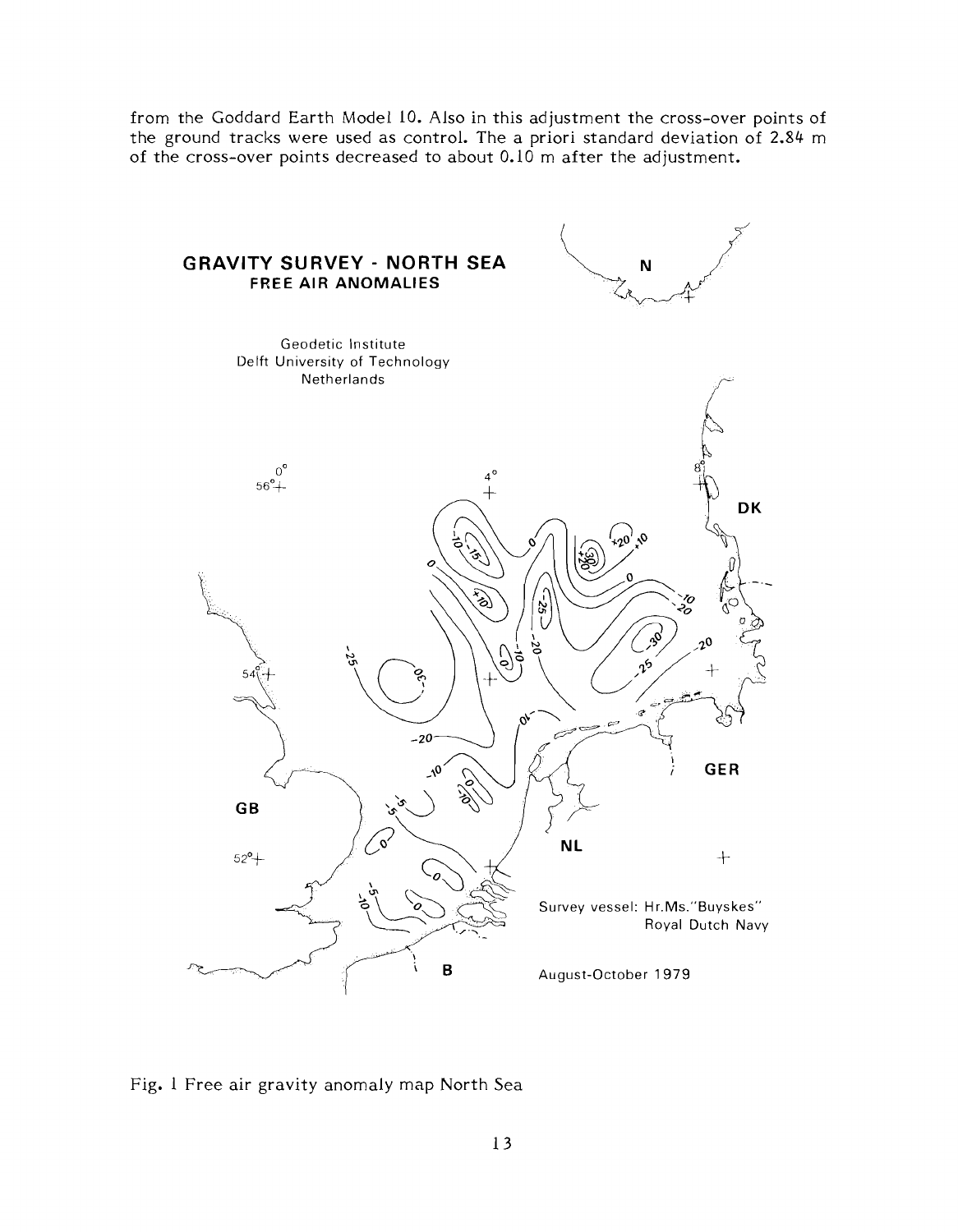from the Goddard Earth Model 10. Also in this adjustment the cross-over points of the ground tracks were used as control. The a priori standard deviation of 2.84 m of the cross-over points decreased to about 0.10 m after the adjustment.



Fig. 1 Free air gravity anomaly map North Sea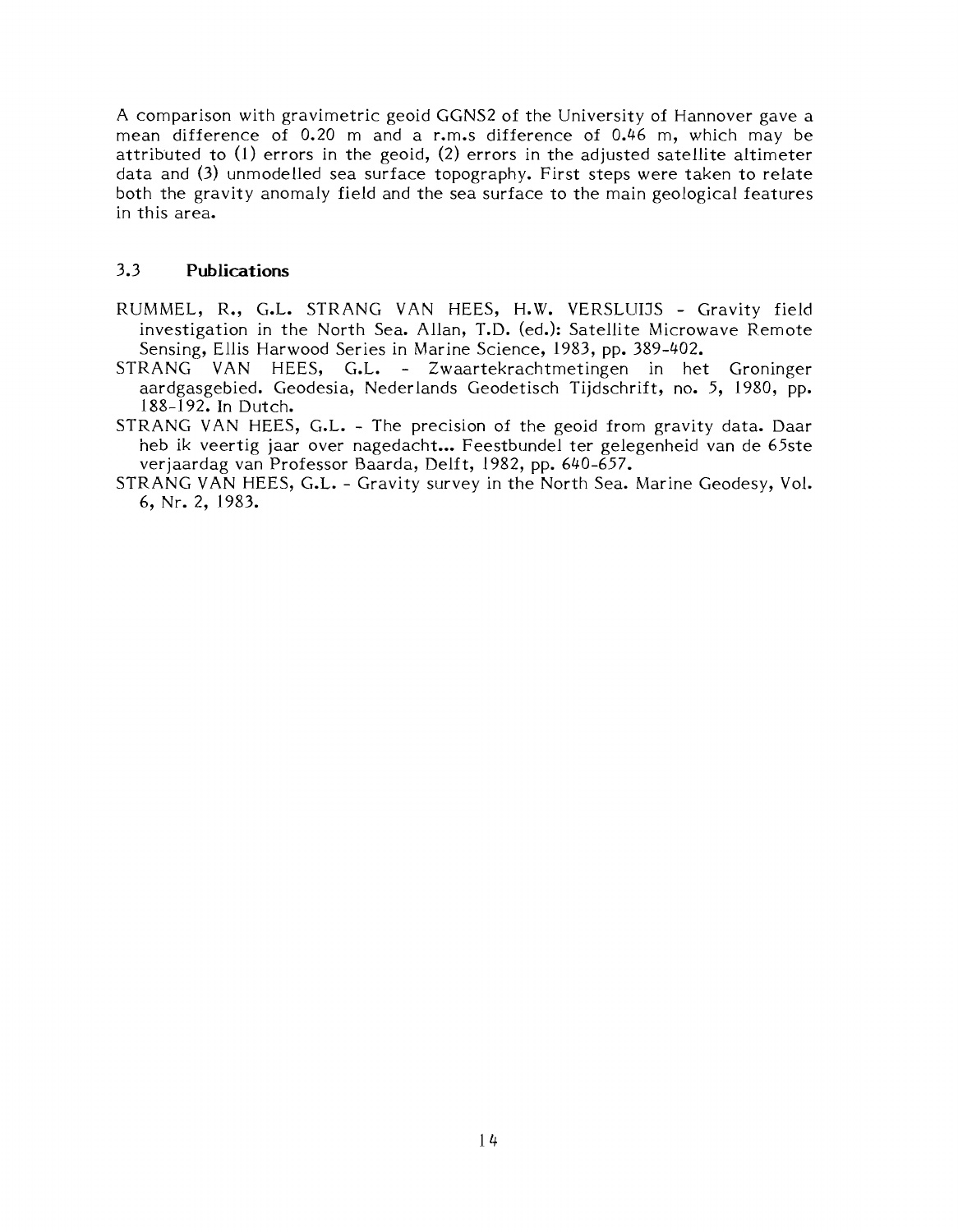A comparison with gravimetric geoid GGNS2 of the University of Hannover gave a mean difference of 0.20 m and a r.m.s difference of 0.46 m, which may be attributed to (l) errors in the geoid, (2) errors in the adjusted satellite altimeter data and (3) unmodelled sea surface topography. First steps were taken to relate both the gravity anomaly field and the sea surface to the main geological features in this area.

#### 3.3 **Publications**

- RUMMEL, R., G.L. STRANG VAN HEES, H.W. VERSLUIJS Gravity field investigation in the North Sea. Allan, T.D. (ed.): Satellite Microwave Remote Sensing, Ellis Harwood Series in Marine Science, 1983, pp. 389-402.
- STRANG VAN HEES, G.L. Zwaartekrachtmetingen in het Groninger aardgasgebied. Geodesia, Nederlands Geodetisch Tijdschrift, no. 5, 1980, pp. 188-192. In Dutch.
- STRANG VAN HEES, G.L. The precision of the geoid from gravity data. Daar heb ik veertig jaar over nagedacht... Feestbundel ter gelegenheid van de 65ste verjaardag van Professor Baarda, Delft, 1982, pp. 640-657.
- STRANG VAN HEES, G.L. Gravity survey in the North Sea. Marine Geodesy, Vol. 6, Nr. 2, 1983.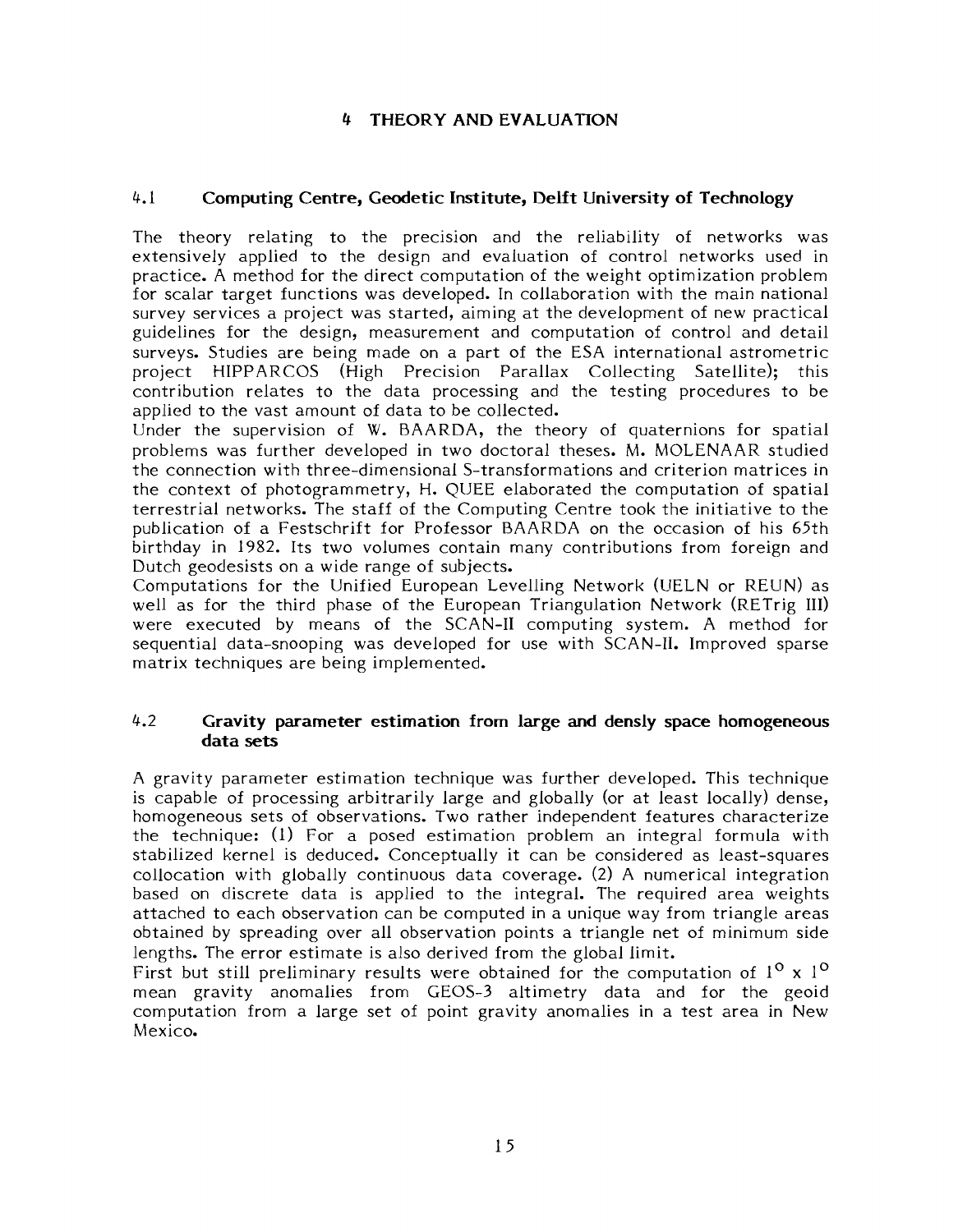## **4 THEORY AND EVALUATION**

### 4.1 **Computing Centre, Geodetic Institute, Delft University of Technology**

The theory relating to the precision and the reliability of networks was extensively applied to the design and evaluation of control networks used in practice. A method for the direct computation of the weight optimization problem for scalar target functions was developed. In collaboration with the main national survey services a project was started, aiming at the development of new practical guidelines for the design, measurement and computation of control and detail surveys. Studies are being made on a part of the ESA international astrometric project HIPPARCOS (High Precision Parallax Collecting Satellite); this contribution relates to the data processing and the testing procedures to be applied to the vast amount of data to be collected.

Under the supervision of W. BAARDA, the theory of quaternions for spatial problems was further developed in two doctoral theses. M. MOLENAAR studied the connection with three-dimensional S-transformations and criterion matrices in the context of photogrammetry, H. QUEE elaborated the computation of spatial terrestrial networks. The staff of the Computing Centre took the initiative to the publication of a Festschrift for Professor BAARDA on the occasion of his 65th birthday in 1982. Its two volumes contain many contributions from foreign and Dutch geodesists on a wide range of subjects.

Computations for the Unified European Levelling Network (UELN or REUN) as well as for the third phase of the European Triangulation Network (RETrig III) were executed by means of the SCAN-I1 computing system. A method for sequential data-snooping was developed for use with SCAN-11. Improved sparse matrix techniques are being implemented.

#### 4.2 **Gravity parameter estimation from large and densly space homogeneous data sets**

A gravity parameter estimation technique was further developed. This technique is capable of processing arbitrarily large and globally (or at least locally) dense, homogeneous sets of observations. Two rather independent features characterize the technique: (1) For a posed estimation problem an integral formula with stabilized kernel is deduced. Conceptually it can be considered as least-squares collocation with globally continuous data coverage. (2) A numerical integration based on discrete data is applied to the integral. The required area weights attached to each observation can be computed in a unique way from triangle areas obtained by spreading over all observation points a triangle net of minimum side lengths. The error estimate is also derived from the global limit.

First but still preliminary results were obtained for the computation of  $1^{\circ}$  x  $1^{\circ}$ mean gravity anomalies from GEOS-3 altimetry data and for the geoid computation from a large set of point gravity anomalies in a test area in New Mexico.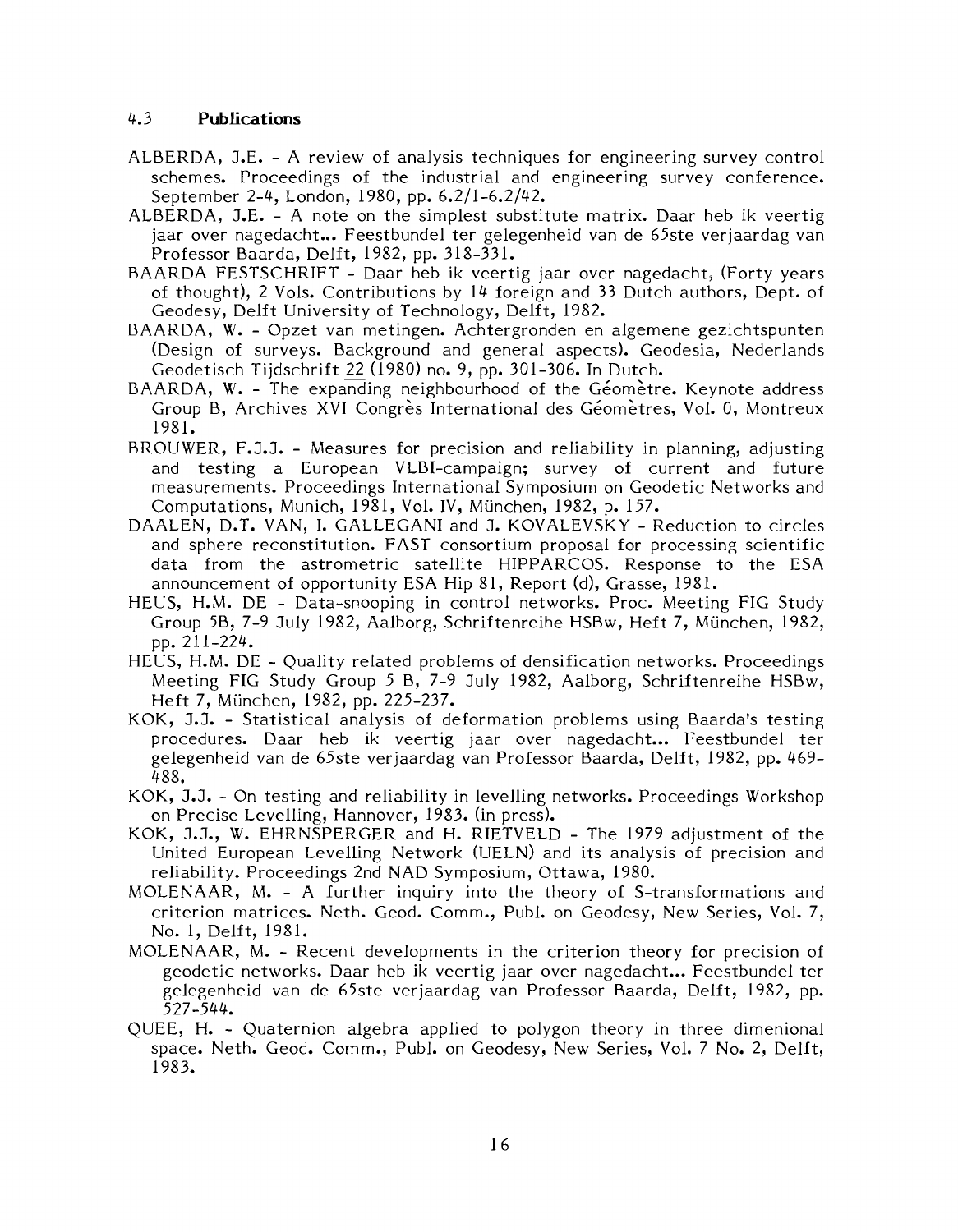#### 4.3 **Publications**

- ALBERDA, J.E. A review of analysis techniques for engineering survey control schemes. Proceedings of the industrial and engineering survey conference. September 2-4, London, 1980, pp. 6.2/1-6.2/42.
- ALBERDA, J.E. A note on the simplest substitute matrix. Daar heb ik veertig jaar over nagedacht... Feestbundel ter gelegenheid van de 65ste verjaardag van Professor Baarda, Delft, 1982, pp. 318-331.
- BAARDA FESTSCHRIFT Daar heb ik veertig jaar over nagedacht, (Forty years of thought), 2 Vols. Contributions by 14 foreign and 33 Dutch authors, Dept. of Geodesy, Delft University of Technology, Delft, 1982.
- BAARDA, W. Opzet van metingen. Achtergronden en algemene gezichtspunten (Design of surveys. Background and general aspects). Geodesia, Nederlands Geodetisch Tijdschrift 22 (1980) no. 9, pp. 301-306. In Dutch.
- BAARDA, W. The expanding neighbourhood of the Géomètre. Keynote address Group B, Archives XVI Congrès International des Géomètres, Vol. 0, Montreux 1981.
- BROUWER, F.J.J. Measures for precision and reliability in planning, adjusting and testing a European VLBI-campaign; survey of current and future measurements. Proceedings International Symposium on Geodetic Networks and Computations, Munich, 1981, Vol. IV, München, 1982, p. 157.
- DAALEN, D.T. VAN, I. GALLEGANI and J. KOVALEVSKY Reduction to circles and sphere reconstitution. FAST consortium proposal for processing scientific data from the astrometric satellite HIPPARCOS. Response to the ESA announcement of opportunity ESA Hip 81, Report (d), Grasse, 1981.
- HEUS, H.M. DE Data-snooping in control networks. Proc. Meeting FIG Study Group 5B, 7-9 July 1982, Aalborg, Schriftenreihe HSBw, Heft 7, Munchen, 1982, pp. 21 1-224.
- HEUS, H.M. DE Quality related problems of densification networks. Proceedings Meeting FIG Study Group 5 B, 7-9 July 1982, Aalborg, Schriftenreihe HSBw, Heft 7, Munchen, 1982, pp. 225-237.
- KOK, J.J. Statistical analysis of deformation problems using Baarda's testing procedures. Daar heb ik veertig jaar over nagedacht... Feestbundel ter gelegenheid van de 65ste verjaardag van Professor Baarda, Delft, 1982, pp. 469-488.
- KOK, J.J. On testing and reliability in levelling networks. Proceedings Workshop on Precise Levelling, Hannover, 1983. (in press).
- KOK, J.J., W. EHRNSPERGER and H. RIETVELD The 1979 adjustment of the United European Levelling Network (UELN) and its analysis of precision and reliability. Proceedings 2nd NAD Symposium, Ottawa, 1980.
- MOLENAAR, M. A further inquiry into the theory of S-transformations and criterion matrices. Neth. Geod. Comm., Publ. on Geodesy, New Series, Vol. 7, No. l, Delft, 1981.
- MOLENAAR, M. Recent developments in the criterion theory for precision of geodetic networks. Daar heb ik veertig jaar over nagedacht... Feestbundel ter gelegenheid van de 65ste verjaardag van Professor Baarda, Delft, 1982, pp. 527-544.
- QUEE, H. Quaternion algebra applied to polygon theory in three dimenional space. Neth. Geod. Comm., Publ. on Geodesy, New Series, Vol. 7 No. 2, Delft, 1983.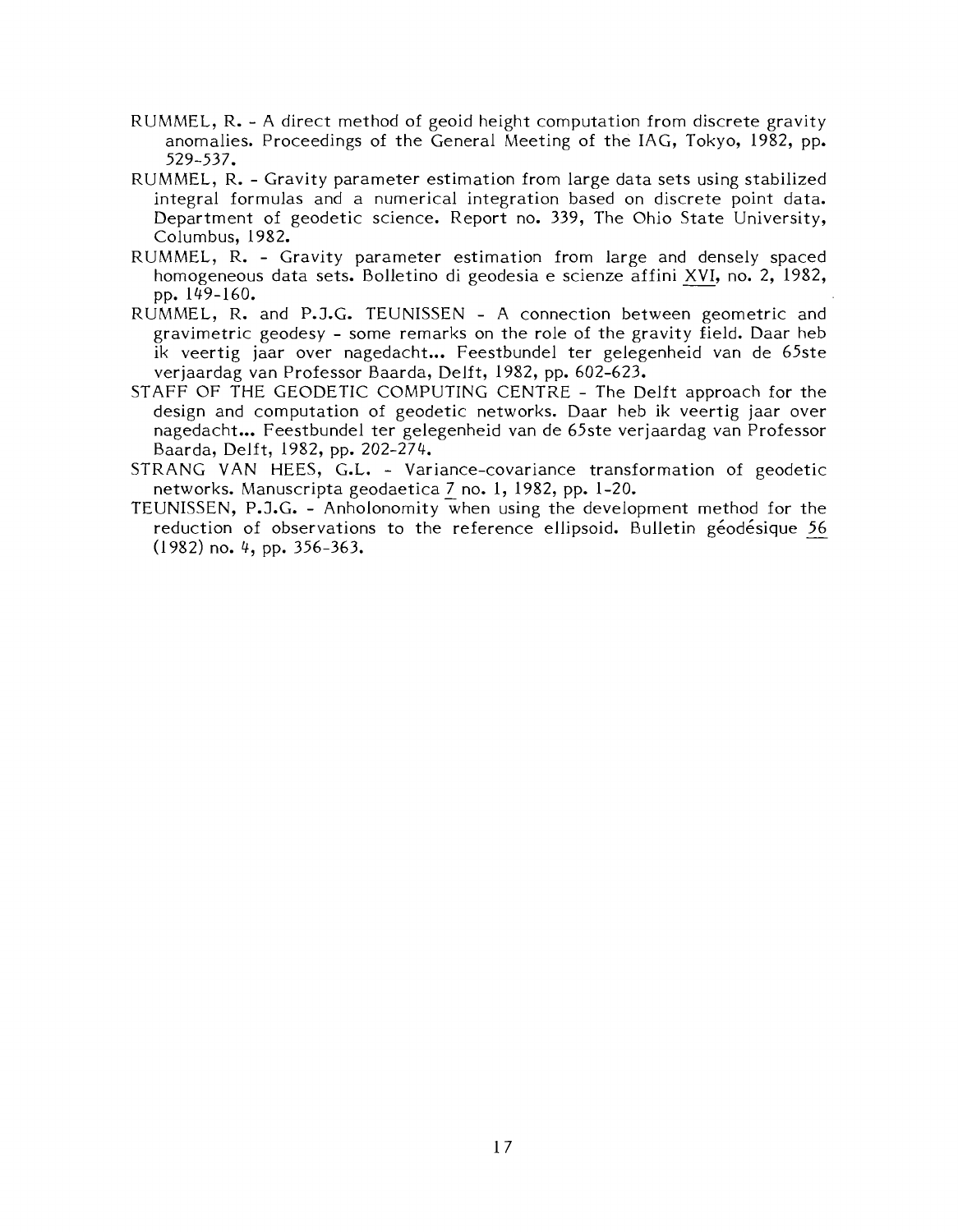- RUMMEL, R. A direct method of geoid height computation from discrete gravity anomalies. Proceedings of the General Meeting of the IAG, Tokyo, 1982, pp. 529-537.
- RUMMEL, R. Gravity parameter estimation from large data sets using stabilized integral formulas and a numerical integration based on discrete point data. Department of geodetic science. Report no. 339, The Ohio State University, Columbus, 1982.
- RUMMEL, R. Gravity parameter estimation from large and densely spaced homogeneous data sets. Bolletino di geodesia e scienze affini XVI, no. 2, 1982, pp. 149-160.
- RUMMEL, R. and P.J.G. TEUNISSEN A connection between geometric and gravimetric geodesy - some remarks on the role of the gravity field. Daar heb ik veertig jaar over nagedacht... Feestbundel ter gelegenheid van de 65ste verjaardag van Professor Baarda, Delft, 1982, pp. 602-623.
- STAFF OF THE GEODETIC COMPUTING CENTXE The Delft approach for the design and computation of geodetic networks. Daar heb ik veertig jaar over nagedacht ... Feestbundel ter gelegenheid van de 65ste verjaardag van Professor Baarda, Delft, 1982, pp. 202-274.
- STRANG VAN HEES, G.L. Variance-covariance transformation of geodetic networks. Manuscripta geodaetica 7 no. 1, 1982, pp. 1-20.
- TEUNISSEN, P.J.G. Anholonomity when using the development method for the reduction of observations to the reference ellipsoid. Bulletin géodésique 56 (1982) no. 4, pp. 356-363.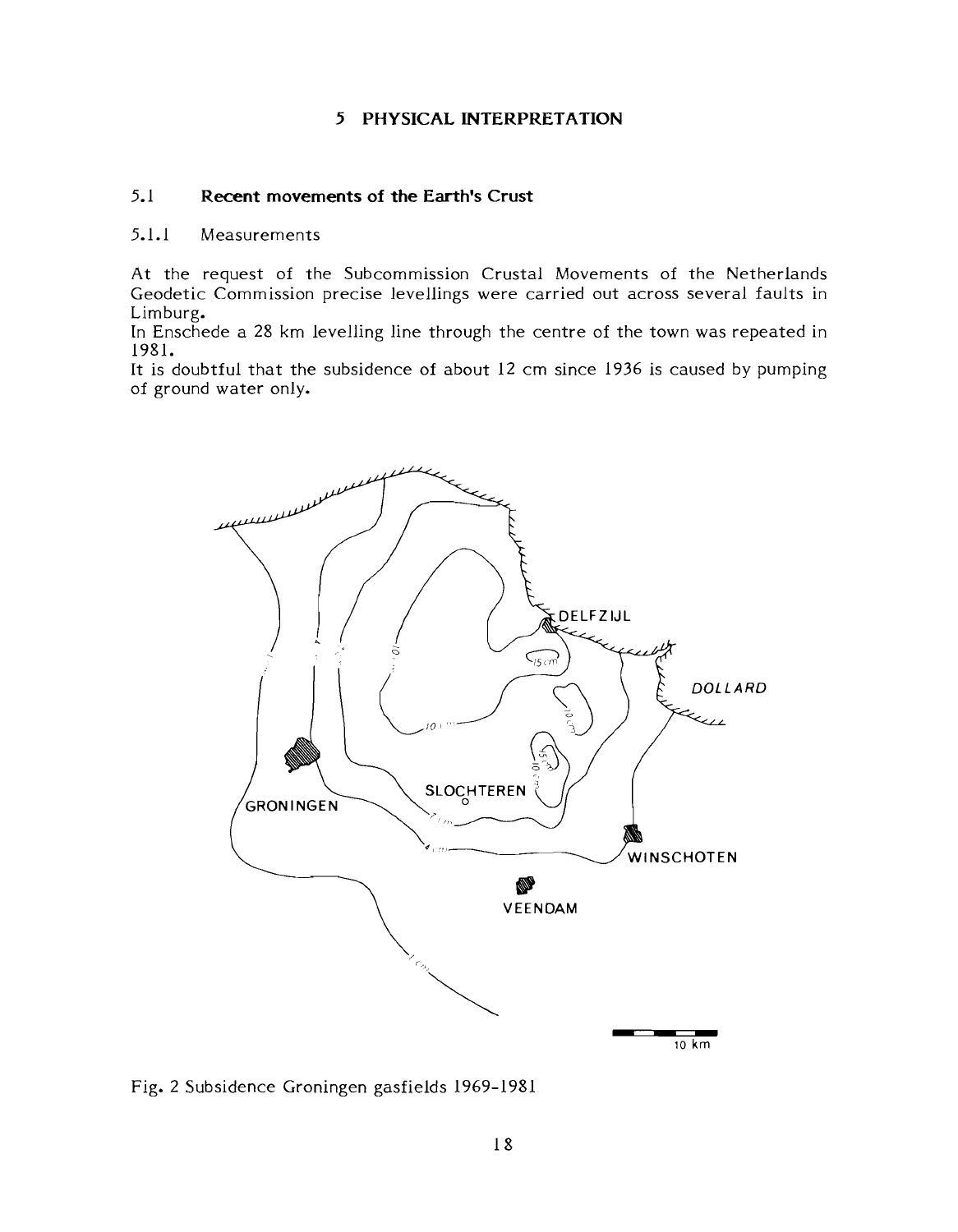#### **5 PHYSICAL INTERPRETATION**

#### 5.1 **Recent movements of the Earth's Crust**

#### 5.1.1 Measurements

At the request of the Subcommission Crustal Movements of the Netherlands Geodetic Commission precise levellings were carried out across several faults in Limburg.

In Enschede a 28 km levelling line through the centre of the town was repeated in 198 1.

It is doubtful that the subsidence of about 12 cm since 1936 is caused by pumping of ground water only.



Fig. 2 Subsidence Groningen gasfields 1969-1981